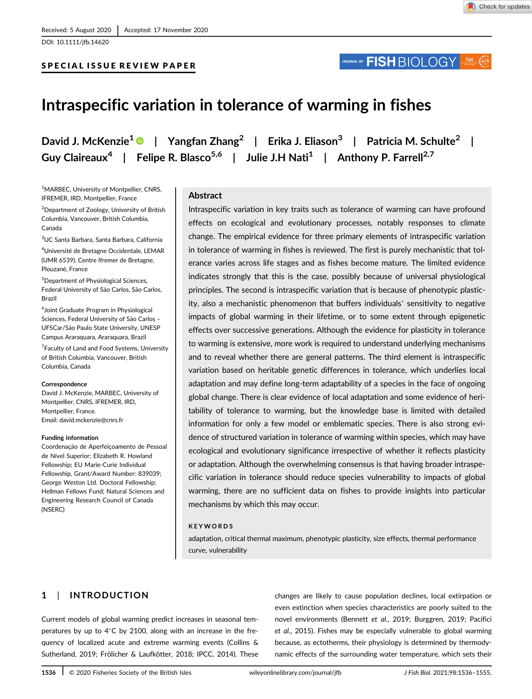SPECIAL ISSUE REVIEW PAPER

DOI: 10.1111/jfb.14620

# JOURNAL OF **FISH** BIOLOGY

# Intraspecific variation in tolerance of warming in fishes

David J. McKenzie<sup>1</sup>  $\bullet$  | Yangfan Zhang<sup>2</sup> | Erika J. Eliason<sup>3</sup> | Patricia M. Schulte<sup>2</sup> | Guy Claireaux<sup>4</sup> | Felipe R. Blasco<sup>5,6</sup> | Julie J.H Nati<sup>1</sup> | Anthony P. Farrell<sup>2,7</sup>

<sup>1</sup>MARBEC, University of Montpellier, CNRS, IFREMER, IRD, Montpellier, France

<sup>2</sup> Department of Zoology, University of British Columbia, Vancouver, British Columbia, Canada

3 UC Santa Barbara, Santa Barbara, California

4 Université de Bretagne Occidentale, LEMAR (UMR 6539), Centre Ifremer de Bretagne, Plouzané, France

5 Department of Physiological Sciences, Federal University of São Carlos, São Carlos, Brazil

6 Joint Graduate Program in Physiological Sciences, Federal University of São Carlos -UFSCar/São Paulo State University, UNESP Campus Araraquara, Araraquara, Brazil

<sup>7</sup> Faculty of Land and Food Systems, University of British Columbia, Vancouver, British Columbia, Canada

#### **Correspondence**

David J. McKenzie, MARBEC, University of Montpellier, CNRS, IFREMER, IRD, Montpellier, France. Email: [david.mckenzie@cnrs.fr](mailto:david.mckenzie@cnrs.fr)

#### Funding information

Coordenação de Aperfeiçoamento de Pessoal de Nível Superior; Elizabeth R. Howland Fellowship; EU Marie-Curie Individual Fellowship, Grant/Award Number: 839039; George Weston Ltd. Doctoral Fellowship; Hellman Fellows Fund; Natural Sciences and Engineering Research Council of Canada (NSERC)

#### Abstract

Intraspecific variation in key traits such as tolerance of warming can have profound effects on ecological and evolutionary processes, notably responses to climate change. The empirical evidence for three primary elements of intraspecific variation in tolerance of warming in fishes is reviewed. The first is purely mechanistic that tolerance varies across life stages and as fishes become mature. The limited evidence indicates strongly that this is the case, possibly because of universal physiological principles. The second is intraspecific variation that is because of phenotypic plasticity, also a mechanistic phenomenon that buffers individuals' sensitivity to negative impacts of global warming in their lifetime, or to some extent through epigenetic effects over successive generations. Although the evidence for plasticity in tolerance to warming is extensive, more work is required to understand underlying mechanisms and to reveal whether there are general patterns. The third element is intraspecific variation based on heritable genetic differences in tolerance, which underlies local adaptation and may define long-term adaptability of a species in the face of ongoing global change. There is clear evidence of local adaptation and some evidence of heritability of tolerance to warming, but the knowledge base is limited with detailed information for only a few model or emblematic species. There is also strong evidence of structured variation in tolerance of warming within species, which may have ecological and evolutionary significance irrespective of whether it reflects plasticity or adaptation. Although the overwhelming consensus is that having broader intraspecific variation in tolerance should reduce species vulnerability to impacts of global warming, there are no sufficient data on fishes to provide insights into particular mechanisms by which this may occur.

#### KEYWORDS

adaptation, critical thermal maximum, phenotypic plasticity, size effects, thermal performance curve, vulnerability

# 1 | INTRODUCTION

Current models of global warming predict increases in seasonal temperatures by up to  $4^{\circ}$ C by 2100, along with an increase in the frequency of localized acute and extreme warming events (Collins & Sutherland, 2019; Frölicher & Laufkötter, 2018; IPCC, 2014). These changes are likely to cause population declines, local extirpation or even extinction when species characteristics are poorly suited to the novel environments (Bennett et al., 2019; Burggren, 2019; Pacifici et al., 2015). Fishes may be especially vulnerable to global warming because, as ectotherms, their physiology is determined by thermodynamic effects of the surrounding water temperature, which sets their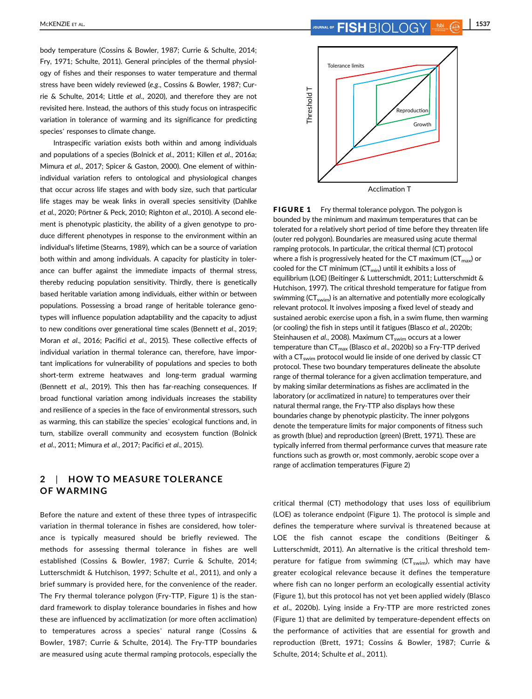body temperature (Cossins & Bowler, 1987; Currie & Schulte, 2014; Fry, 1971; Schulte, 2011). General principles of the thermal physiology of fishes and their responses to water temperature and thermal stress have been widely reviewed (e.g., Cossins & Bowler, 1987; Currie & Schulte, 2014; Little et al., 2020), and therefore they are not revisited here. Instead, the authors of this study focus on intraspecific variation in tolerance of warming and its significance for predicting species' responses to climate change.

Intraspecific variation exists both within and among individuals and populations of a species (Bolnick et al., 2011; Killen et al., 2016a; Mimura et al., 2017; Spicer & Gaston, 2000). One element of withinindividual variation refers to ontological and physiological changes that occur across life stages and with body size, such that particular life stages may be weak links in overall species sensitivity (Dahlke et al., 2020; Pörtner & Peck, 2010; Righton et al., 2010). A second element is phenotypic plasticity, the ability of a given genotype to produce different phenotypes in response to the environment within an individual's lifetime (Stearns, 1989), which can be a source of variation both within and among individuals. A capacity for plasticity in tolerance can buffer against the immediate impacts of thermal stress, thereby reducing population sensitivity. Thirdly, there is genetically based heritable variation among individuals, either within or between populations. Possessing a broad range of heritable tolerance genotypes will influence population adaptability and the capacity to adjust to new conditions over generational time scales (Bennett et al., 2019; Moran et al., 2016; Pacifici et al., 2015). These collective effects of individual variation in thermal tolerance can, therefore, have important implications for vulnerability of populations and species to both short-term extreme heatwaves and long-term gradual warming (Bennett et al., 2019). This then has far-reaching consequences. If broad functional variation among individuals increases the stability and resilience of a species in the face of environmental stressors, such as warming, this can stabilize the species' ecological functions and, in turn, stabilize overall community and ecosystem function (Bolnick et al., 2011; Mimura et al., 2017; Pacifici et al., 2015).

### 2 | HOW TO MEASURE TOLERANCE OF WARMING

Before the nature and extent of these three types of intraspecific variation in thermal tolerance in fishes are considered, how tolerance is typically measured should be briefly reviewed. The methods for assessing thermal tolerance in fishes are well established (Cossins & Bowler, 1987; Currie & Schulte, 2014; Lutterschmidt & Hutchison, 1997; Schulte et al., 2011), and only a brief summary is provided here, for the convenience of the reader. The Fry thermal tolerance polygon (Fry-TTP, Figure 1) is the standard framework to display tolerance boundaries in fishes and how these are influenced by acclimatization (or more often acclimation) to temperatures across a species' natural range (Cossins & Bowler, 1987; Currie & Schulte, 2014). The Fry-TTP boundaries are measured using acute thermal ramping protocols, especially the



FIGURE 1 Fry thermal tolerance polygon. The polygon is bounded by the minimum and maximum temperatures that can be tolerated for a relatively short period of time before they threaten life (outer red polygon). Boundaries are measured using acute thermal ramping protocols. In particular, the critical thermal (CT) protocol where a fish is progressively heated for the CT maximum ( $CT_{max}$ ) or cooled for the CT minimum ( $CT_{min}$ ) until it exhibits a loss of equilibrium (LOE) (Beitinger & Lutterschmidt, 2011; Lutterschmidt & Hutchison, 1997). The critical threshold temperature for fatigue from swimming  $(CT_{swin})$  is an alternative and potentially more ecologically relevant protocol. It involves imposing a fixed level of steady and sustained aerobic exercise upon a fish, in a swim flume, then warming (or cooling) the fish in steps until it fatigues (Blasco et al., 2020b; Steinhausen et al., 2008). Maximum  $CT_{swim}$  occurs at a lower temperature than CT<sub>max</sub> (Blasco et al., 2020b) so a Fry-TTP derived with a CT<sub>swim</sub> protocol would lie inside of one derived by classic CT protocol. These two boundary temperatures delineate the absolute range of thermal tolerance for a given acclimation temperature, and by making similar determinations as fishes are acclimated in the laboratory (or acclimatized in nature) to temperatures over their natural thermal range, the Fry-TTP also displays how these boundaries change by phenotypic plasticity. The inner polygons denote the temperature limits for major components of fitness such as growth (blue) and reproduction (green) (Brett, 1971). These are typically inferred from thermal performance curves that measure rate functions such as growth or, most commonly, aerobic scope over a range of acclimation temperatures (Figure 2)

critical thermal (CT) methodology that uses loss of equilibrium (LOE) as tolerance endpoint (Figure 1). The protocol is simple and defines the temperature where survival is threatened because at LOE the fish cannot escape the conditions (Beitinger & Lutterschmidt, 2011). An alternative is the critical threshold temperature for fatigue from swimming ( $CT_{swim}$ ), which may have greater ecological relevance because it defines the temperature where fish can no longer perform an ecologically essential activity (Figure 1), but this protocol has not yet been applied widely (Blasco et al., 2020b). Lying inside a Fry-TTP are more restricted zones (Figure 1) that are delimited by temperature-dependent effects on the performance of activities that are essential for growth and reproduction (Brett, 1971; Cossins & Bowler, 1987; Currie & Schulte, 2014; Schulte et al., 2011).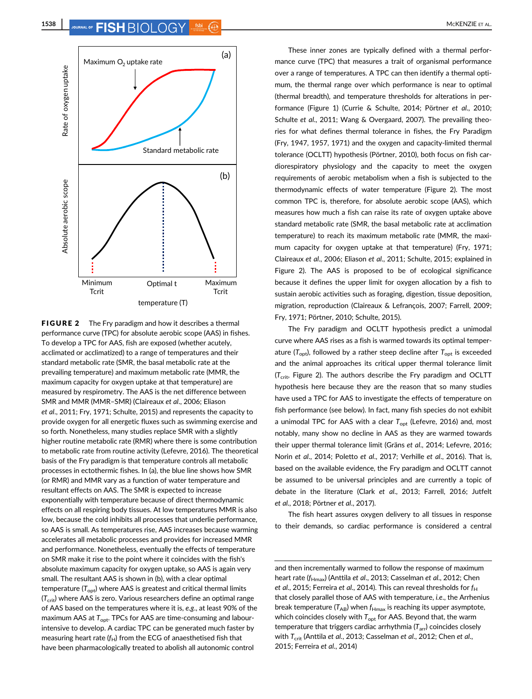

**FIGURE 2** The Fry paradigm and how it describes a thermal performance curve (TPC) for absolute aerobic scope (AAS) in fishes. To develop a TPC for AAS, fish are exposed (whether acutely, acclimated or acclimatized) to a range of temperatures and their standard metabolic rate (SMR, the basal metabolic rate at the prevailing temperature) and maximum metabolic rate (MMR, the maximum capacity for oxygen uptake at that temperature) are measured by respirometry. The AAS is the net difference between SMR and MMR (MMR–SMR) (Claireaux et al., 2006; Eliason et al., 2011; Fry, 1971; Schulte, 2015) and represents the capacity to provide oxygen for all energetic fluxes such as swimming exercise and so forth. Nonetheless, many studies replace SMR with a slightly higher routine metabolic rate (RMR) where there is some contribution to metabolic rate from routine activity (Lefevre, 2016). The theoretical basis of the Fry paradigm is that temperature controls all metabolic processes in ectothermic fishes. In (a), the blue line shows how SMR (or RMR) and MMR vary as a function of water temperature and resultant effects on AAS. The SMR is expected to increase exponentially with temperature because of direct thermodynamic effects on all respiring body tissues. At low temperatures MMR is also low, because the cold inhibits all processes that underlie performance, so AAS is small. As temperatures rise, AAS increases because warming accelerates all metabolic processes and provides for increased MMR and performance. Nonetheless, eventually the effects of temperature on SMR make it rise to the point where it coincides with the fish's absolute maximum capacity for oxygen uptake, so AAS is again very small. The resultant AAS is shown in (b), with a clear optimal temperature  $(T_{\text{opt}})$  where AAS is greatest and critical thermal limits  $(T_{\text{crit}})$  where AAS is zero. Various researchers define an optimal range of AAS based on the temperatures where it is, e.g., at least 90% of the maximum AAS at  $T_{\text{opt}}$ . TPCs for AAS are time-consuming and labourintensive to develop. A cardiac TPC can be generated much faster by measuring heart rate  $(f_H)$  from the ECG of anaesthetised fish that have been pharmacologically treated to abolish all autonomic control

These inner zones are typically defined with a thermal performance curve (TPC) that measures a trait of organismal performance over a range of temperatures. A TPC can then identify a thermal optimum, the thermal range over which performance is near to optimal (thermal breadth), and temperature thresholds for alterations in performance (Figure 1) (Currie & Schulte, 2014; Pörtner et al., 2010; Schulte et al., 2011; Wang & Overgaard, 2007). The prevailing theories for what defines thermal tolerance in fishes, the Fry Paradigm (Fry, 1947, 1957, 1971) and the oxygen and capacity-limited thermal tolerance (OCLTT) hypothesis (Pörtner, 2010), both focus on fish cardiorespiratory physiology and the capacity to meet the oxygen requirements of aerobic metabolism when a fish is subjected to the thermodynamic effects of water temperature (Figure 2). The most common TPC is, therefore, for absolute aerobic scope (AAS), which measures how much a fish can raise its rate of oxygen uptake above standard metabolic rate (SMR, the basal metabolic rate at acclimation temperature) to reach its maximum metabolic rate (MMR, the maximum capacity for oxygen uptake at that temperature) (Fry, 1971; Claireaux et al., 2006; Eliason et al., 2011; Schulte, 2015; explained in Figure 2). The AAS is proposed to be of ecological significance because it defines the upper limit for oxygen allocation by a fish to sustain aerobic activities such as foraging, digestion, tissue deposition, migration, reproduction (Claireaux & Lefrançois, 2007; Farrell, 2009; Fry, 1971; Pörtner, 2010; Schulte, 2015).

The Fry paradigm and OCLTT hypothesis predict a unimodal curve where AAS rises as a fish is warmed towards its optimal temperature ( $T_{\text{opt}}$ ), followed by a rather steep decline after  $T_{\text{opt}}$  is exceeded and the animal approaches its critical upper thermal tolerance limit  $(T_{\text{crit}}$ , Figure 2). The authors describe the Fry paradigm and OCLTT hypothesis here because they are the reason that so many studies have used a TPC for AAS to investigate the effects of temperature on fish performance (see below). In fact, many fish species do not exhibit a unimodal TPC for AAS with a clear  $T_{\text{opt}}$  (Lefevre, 2016) and, most notably, many show no decline in AAS as they are warmed towards their upper thermal tolerance limit (Gräns et al., 2014; Lefevre, 2016; Norin et al., 2014; Poletto et al., 2017; Verhille et al., 2016). That is, based on the available evidence, the Fry paradigm and OCLTT cannot be assumed to be universal principles and are currently a topic of debate in the literature (Clark et al., 2013; Farrell, 2016; Jutfelt et al., 2018; Pörtner et al., 2017).

The fish heart assures oxygen delivery to all tissues in response to their demands, so cardiac performance is considered a central

and then incrementally warmed to follow the response of maximum heart rate (f<sub>Hmax</sub>) (Anttila et al., 2013; Casselman et al., 2012; Chen et al., 2015; Ferreira et al., 2014). This can reveal thresholds for  $f_H$ that closely parallel those of AAS with temperature, i.e., the Arrhenius break temperature ( $T_{AB}$ ) when  $f_{Hmax}$  is reaching its upper asymptote, which coincides closely with  $T_{\text{oot}}$  for AAS. Beyond that, the warm temperature that triggers cardiac arrhythmia  $(T_{\text{arr}})$  coincides closely with T<sub>crit</sub> (Anttila et al., 2013; Casselman et al., 2012; Chen et al., 2015; Ferreira et al., 2014)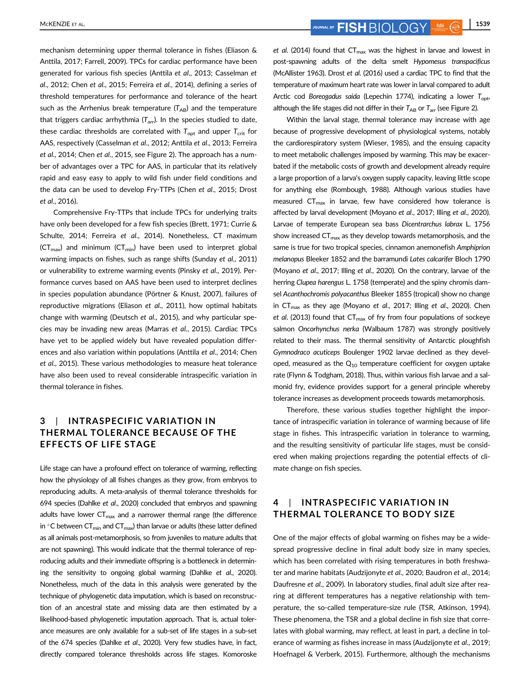mechanism determining upper thermal tolerance in fishes (Eliason & Anttila, 2017; Farrell, 2009). TPCs for cardiac performance have been generated for various fish species (Anttila et al., 2013; Casselman et al., 2012; Chen et al., 2015; Ferreira et al., 2014), defining a series of threshold temperatures for performance and tolerance of the heart such as the Arrhenius break temperature  $(T_{AB})$  and the temperature that triggers cardiac arrhythmia  $(T_{\text{arr}})$ . In the species studied to date, these cardiac thresholds are correlated with  $T_{\text{opt}}$  and upper  $T_{\text{crit}}$  for AAS, respectively (Casselman et al., 2012; Anttila et al., 2013; Ferreira et al., 2014; Chen et al., 2015, see Figure 2). The approach has a number of advantages over a TPC for AAS, in particular that its relatively rapid and easy easy to apply to wild fish under field conditions and the data can be used to develop Fry-TTPs (Chen et al., 2015; Drost et al., 2016).

Comprehensive Fry-TTPs that include TPCs for underlying traits have only been developed for a few fish species (Brett, 1971; Currie & Schulte, 2014; Ferreira et al., 2014). Nonetheless, CT maximum  $(CT_{max})$  and minimum  $(CT_{min})$  have been used to interpret global warming impacts on fishes, such as range shifts (Sunday et al., 2011) or vulnerability to extreme warming events (Pinsky et al., 2019). Performance curves based on AAS have been used to interpret declines in species population abundance (Pörtner & Knust, 2007), failures of reproductive migrations (Eliason et al., 2011), how optimal habitats change with warming (Deutsch et al., 2015), and why particular species may be invading new areas (Marras et al., 2015). Cardiac TPCs have yet to be applied widely but have revealed population differences and also variation within populations (Anttila et al., 2014; Chen et al., 2015). These various methodologies to measure heat tolerance have also been used to reveal considerable intraspecific variation in thermal tolerance in fishes.

# 3 | INTRASPECIFIC VARIATION IN THERMAL TOLERANCE BECAUSE OF THE EFFECTS OF LIFE STAGE

Life stage can have a profound effect on tolerance of warming, reflecting how the physiology of all fishes changes as they grow, from embryos to reproducing adults. A meta-analysis of thermal tolerance thresholds for 694 species (Dahlke et al., 2020) concluded that embryos and spawning adults have lower  $CT_{\text{max}}$  and a narrower thermal range (the difference in  $\degree$ C between CT<sub>min</sub> and CT<sub>max</sub>) than larvae or adults (these latter defined as all animals post-metamorphosis, so from juveniles to mature adults that are not spawning). This would indicate that the thermal tolerance of reproducing adults and their immediate offspring is a bottleneck in determining the sensitivity to ongoing global warming (Dahlke et al., 2020). Nonetheless, much of the data in this analysis were generated by the technique of phylogenetic data imputation, which is based on reconstruction of an ancestral state and missing data are then estimated by a likelihood-based phylogenetic imputation approach. That is, actual tolerance measures are only available for a sub-set of life stages in a sub-set of the 674 species (Dahlke et al., 2020). Very few studies have, in fact, directly compared tolerance thresholds across life stages. Komoroske et al. (2014) found that  $CT_{\text{max}}$  was the highest in larvae and lowest in post-spawning adults of the delta smelt Hypomesus transpacificus (McAllister 1963). Drost et al. (2016) used a cardiac TPC to find that the temperature of maximum heart rate was lower in larval compared to adult Arctic cod Boreogadus saida (Lepechin 1774), indicating a lower  $T_{\text{out}}$ , although the life stages did not differ in their  $T_{AB}$  or  $T_{\text{ar}}$  (see Figure 2).

Within the larval stage, thermal tolerance may increase with age because of progressive development of physiological systems, notably the cardiorespiratory system (Wieser, 1985), and the ensuing capacity to meet metabolic challenges imposed by warming. This may be exacerbated if the metabolic costs of growth and development already require a large proportion of a larva's oxygen supply capacity, leaving little scope for anything else (Rombough, 1988). Although various studies have measured  $CT_{\text{max}}$  in larvae, few have considered how tolerance is affected by larval development (Moyano et al., 2017; Illing et al., 2020). Larvae of temperate European sea bass Dicentrarchus labrax L. 1756 show increased  $CT_{\text{max}}$  as they develop towards metamorphosis, and the same is true for two tropical species, cinnamon anemonefish Amphiprion melanopus Bleeker 1852 and the barramundi Lates calcarifer Bloch 1790 (Moyano et al., 2017; Illing et al., 2020). On the contrary, larvae of the herring Clupea harengus L. 1758 (temperate) and the spiny chromis damsel Acanthochromis polyacanthus Bleeker 1855 (tropical) show no change in  $CT_{\text{max}}$  as they age (Moyano et al., 2017; Illing et al., 2020). Chen et al. (2013) found that  $CT_{max}$  of fry from four populations of sockeye salmon Oncorhynchus nerka (Walbaum 1787) was strongly positively related to their mass. The thermal sensitivity of Antarctic ploughfish Gymnodraco acuticeps Boulenger 1902 larvae declined as they developed, measured as the  $Q_{10}$  temperature coefficient for oxygen uptake rate (Flynn & Todgham, 2018). Thus, within various fish larvae and a salmonid fry, evidence provides support for a general principle whereby tolerance increases as development proceeds towards metamorphosis.

Therefore, these various studies together highlight the importance of intraspecific variation in tolerance of warming because of life stage in fishes. This intraspecific variation in tolerance to warming, and the resulting sensitivity of particular life stages, must be considered when making projections regarding the potential effects of climate change on fish species.

# 4 | INTRASPECIFIC VARIATION IN THERMAL TOLERANCE TO BODY SIZE

One of the major effects of global warming on fishes may be a widespread progressive decline in final adult body size in many species, which has been correlated with rising temperatures in both freshwater and marine habitats (Audzijonyte et al., 2020; Baudron et al., 2014; Daufresne et al., 2009). In laboratory studies, final adult size after rearing at different temperatures has a negative relationship with temperature, the so-called temperature-size rule (TSR, Atkinson, 1994). These phenomena, the TSR and a global decline in fish size that correlates with global warming, may reflect, at least in part, a decline in tolerance of warming as fishes increase in mass (Audzijonyte et al., 2019; Hoefnagel & Verberk, 2015). Furthermore, although the mechanisms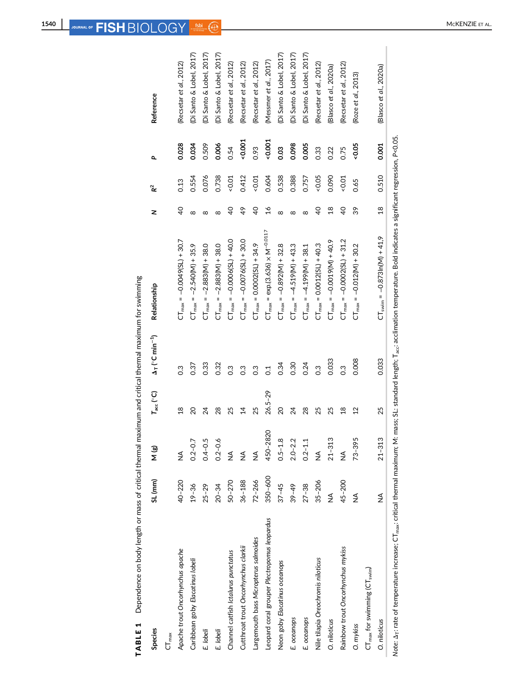| Species                                                                                                                                                                                                                                        | <b>SL</b> (mm) | N (g)         | $T_{\rm acc} (^{\circ}C)$ | $\Delta_T$ (°C min <sup>-1</sup> ) | Relationship                                        | z               | R <sup>2</sup> | ٩        | Reference                       |
|------------------------------------------------------------------------------------------------------------------------------------------------------------------------------------------------------------------------------------------------|----------------|---------------|---------------------------|------------------------------------|-----------------------------------------------------|-----------------|----------------|----------|---------------------------------|
| $CT_{max}$                                                                                                                                                                                                                                     |                |               |                           |                                    |                                                     |                 |                |          |                                 |
| Apache trout Oncorhynchus apache                                                                                                                                                                                                               | $40 - 220$     | ≸             | $\frac{8}{18}$            | $\frac{3}{2}$                      | $CT_{max} = -0.0049(SL) + 30.7$                     | $\overline{6}$  | 0.13           | 0.028    | (Recsetar et al., 2012)         |
| Caribbean goby Elacatinus lobeli                                                                                                                                                                                                               | $19 - 36$      | $0.2 - 0.7$   | $\overline{c}$            | 0.37                               | $CT_{max} = -2.540(M) + 35.9$                       | ∞               | 0.554          | 0.034    | (Di Santo & Lobel, 2017)        |
| E. lobeli                                                                                                                                                                                                                                      | $25 - 29$      | $0.4 - 0.5$   | 24                        | 0.33                               | $CT_{max} = -2.883(M) + 38.0$                       | ∞               | 0.076          | 0.509    | (Di Santo & Lobel, 2017)        |
| E. lobeli                                                                                                                                                                                                                                      | $20 - 34$      | $0.2 - 0.6$   | 28                        | 0.32                               | $CT_{max} = -2.883(M) + 38.0$                       | $\infty$        | 0.738          | 0.006    | (Di Santo & Lobel, 2017)        |
| Channel catfish Ictalurus punctatus                                                                                                                                                                                                            | $50 - 270$     | ≸             | 25                        | 0.3                                | $CT_{max} = -0.050000 - 0.000000$                   | $\overline{6}$  | 10.01          | 0.54     | (Recsetar et al., 2012)         |
| Cutthroat trout Oncorhynchus clarkii                                                                                                                                                                                                           | $36 - 188$     | $\frac{1}{2}$ | $\vec{4}$                 | 0.3                                | $CT_{max} = -0.0076(5L) + 30.0$                     | 49              | 0.412          | $-0.001$ | (Recsetar et al., 2012)         |
| Largemouth bass Micropterus salmoides                                                                                                                                                                                                          | $72 - 266$     | ≸             | 25                        | $\frac{3}{2}$                      | $CT_{max} = 0.0002(SL) + 34.9$                      | $\overline{6}$  | $-0.01$        | 0.93     | (Recsetar et al., 2012)         |
| Leopard coral grouper Plectropomus leopardus                                                                                                                                                                                                   | 350-600        | 450-2820      | $26.5 - 29$               | $\overline{c}$                     | $CT_{\text{max}} = \exp.(3.636) \times M^{-0.0117}$ | $\frac{6}{1}$   | 0.604          | $-0.001$ | (Messmer et al., 2017)          |
| Neon goby Elacatinus oceanops                                                                                                                                                                                                                  | $37 - 45$      | $0.5 - 1.8$   | $\overline{a}$            | 0.34                               | $CT_{max} = -0.892(M) + 32.8$                       | ∞               | 0.538          | 0.03     | (Di Santo & Lobel, 2017)        |
| E. oceanops                                                                                                                                                                                                                                    | $39 - 49$      | $2.0 - 2.2$   | 24                        | 0.30                               | $CT_{max} = -4.519(M) + 43.3$                       | $\infty$        | 0.388          | 0.098    | (Di Santo & Lobel, 2017)        |
| E. oceanops                                                                                                                                                                                                                                    | $27 - 38$      | $0.2 - 1.1$   | 28                        | 0.24                               | $CT_{max} = -4.199$ (M) + 38.1                      | ∞               | 0.757          | 0.005    | (Di Santo & Lobel, 2017)        |
| Nile tilapia Oreochromis niloticus                                                                                                                                                                                                             | $35 - 206$     | ≸             | 25                        | C.3                                | $CT_{max} = 0.0012(SL) + 40.3$                      | $\overline{40}$ | $-0.05$        | 0.33     | (Recsetar <i>et al.</i> , 2012) |
| O. niloticus                                                                                                                                                                                                                                   | ≸              | $21 - 313$    | 25                        | 0.033                              | $CT_{max} = -0.00100 - 400.9$                       | $\frac{8}{18}$  | 0.090          | 0.22     | (Blasco et al., 2020a)          |
| Rainbow trout Oncorhynchus mykiss                                                                                                                                                                                                              | 45-200         | $\frac{1}{2}$ | $\frac{8}{18}$            | C.3                                | $CT_{\text{max}} = -0.0002(SL) + 31.2$              | $\overline{40}$ | $-0.01$        | 0.75     | (Recsetar et al., 2012)         |
| O. mykiss                                                                                                                                                                                                                                      | ≸              | $73 - 395$    | $\overline{2}$            | 0.008                              | $CT_{max} = -0.012(M) + 30.2$                       | 39              | 0.65           | $-0.05$  | (Roze et al., 2013)             |
| $CT_{\text{max}}$ for swimming $(CT_{\text{swim}})$                                                                                                                                                                                            |                |               |                           |                                    |                                                     |                 |                |          |                                 |
| O. niloticus                                                                                                                                                                                                                                   | ≸              | $21 - 313$    | 25                        | 0.033                              | $CT_{swin} = -0.873 \ln(M) + 41.9$                  | $\frac{8}{18}$  | 0.510          | 0.001    | (Blasco et al., 2020a)          |
| Note: $\Delta_{\rm T}$ rate of temperature increase; $\overline{\rm C}\Gamma_{\rm max}$ ; critical thermal maximum; M: mass; SL: standard length; T <sub>acc</sub> : acclimation temperature. Bold indicates a significant regression, P<0.05. |                |               |                           |                                    |                                                     |                 |                |          |                                 |

TABLE 1 Dependence on body length or mass of critical thermal maximum and critical thermal maximum for swimming TABLE 1 Dependence on body length or mass of critical thermal maximum and critical thermal maximum for swimming

ה<br>כלו Note: Δτ: rate of temperature increase; CT<sub>max</sub>: critical thermal maximum; M: mass; SL: standard length; T<sub>ac</sub>: acclimation temperature. Bold indicates a significant regression, P<0.05. Ģ ä

 $\begin{array}{c} \hline \end{array}$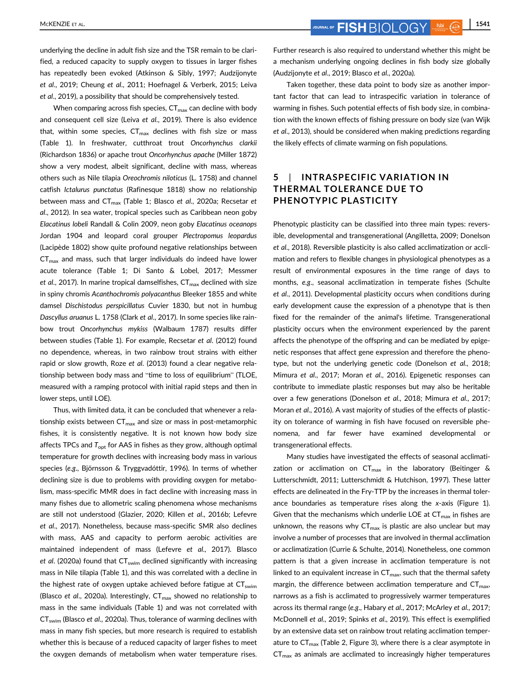underlying the decline in adult fish size and the TSR remain to be clarified, a reduced capacity to supply oxygen to tissues in larger fishes has repeatedly been evoked (Atkinson & Sibly, 1997; Audzijonyte et al., 2019; Cheung et al., 2011; Hoefnagel & Verberk, 2015; Leiva et al., 2019), a possibility that should be comprehensively tested.

When comparing across fish species,  $CT_{\text{max}}$  can decline with body and consequent cell size (Leiva et al., 2019). There is also evidence that, within some species,  $CT_{max}$  declines with fish size or mass (Table 1). In freshwater, cutthroat trout Oncorhynchus clarkii (Richardson 1836) or apache trout Oncorhynchus apache (Miller 1872) show a very modest, albeit significant, decline with mass, whereas others such as Nile tilapia Oreochromis niloticus (L. 1758) and channel catfish Ictalurus punctatus (Rafinesque 1818) show no relationship between mass and CT<sub>max</sub> (Table 1; Blasco et al., 2020a; Recsetar et al., 2012). In sea water, tropical species such as Caribbean neon goby Elacatinus lobeli Randall & Colin 2009, neon goby Elacatinus oceanops Jordan 1904 and leopard coral grouper Plectropomus leopardus (Lacipède 1802) show quite profound negative relationships between  $CT_{max}$  and mass, such that larger individuals do indeed have lower acute tolerance (Table 1; Di Santo & Lobel, 2017; Messmer et al., 2017). In marine tropical damselfishes,  $CT_{max}$  declined with size in spiny chromis Acanthochromis polyacanthus Bleeker 1855 and white damsel Dischistodus perspicillatus Cuvier 1830, but not in humbug Dascyllus aruanus L. 1758 (Clark et al., 2017). In some species like rainbow trout Oncorhynchus mykiss (Walbaum 1787) results differ between studies (Table 1). For example, Recsetar et al. (2012) found no dependence, whereas, in two rainbow trout strains with either rapid or slow growth, Roze et al. (2013) found a clear negative relationship between body mass and "time to loss of equilibrium" (TLOE, measured with a ramping protocol with initial rapid steps and then in lower steps, until LOE).

Thus, with limited data, it can be concluded that whenever a relationship exists between  $CT_{\text{max}}$  and size or mass in post-metamorphic fishes, it is consistently negative. It is not known how body size affects TPCs and  $T_{\text{out}}$  for AAS in fishes as they grow, although optimal temperature for growth declines with increasing body mass in various species (e.g., Björnsson & Tryggvadóttir, 1996). In terms of whether declining size is due to problems with providing oxygen for metabolism, mass-specific MMR does in fact decline with increasing mass in many fishes due to allometric scaling phenomena whose mechanisms are still not understood (Glazier, 2020; Killen et al., 2016b; Lefevre et al., 2017). Nonetheless, because mass-specific SMR also declines with mass, AAS and capacity to perform aerobic activities are maintained independent of mass (Lefevre et al., 2017). Blasco et al. (2020a) found that  $CT_{swim}$  declined significantly with increasing mass in Nile tilapia (Table 1), and this was correlated with a decline in the highest rate of oxygen uptake achieved before fatigue at  $CT_{\text{swim}}$ (Blasco et al., 2020a). Interestingly,  $CT_{max}$  showed no relationship to mass in the same individuals (Table 1) and was not correlated with CT<sub>swim</sub> (Blasco et al., 2020a). Thus, tolerance of warming declines with mass in many fish species, but more research is required to establish whether this is because of a reduced capacity of larger fishes to meet the oxygen demands of metabolism when water temperature rises. Further research is also required to understand whether this might be a mechanism underlying ongoing declines in fish body size globally (Audzijonyte et al., 2019; Blasco et al., 2020a).

Taken together, these data point to body size as another important factor that can lead to intraspecific variation in tolerance of warming in fishes. Such potential effects of fish body size, in combination with the known effects of fishing pressure on body size (van Wijk et al., 2013), should be considered when making predictions regarding the likely effects of climate warming on fish populations.

# 5 | INTRASPECIFIC VARIATION IN THERMAL TOLERANCE DUE TO PHENOTYPIC PLASTICITY

Phenotypic plasticity can be classified into three main types: reversible, developmental and transgenerational (Angilletta, 2009; Donelson et al., 2018). Reversible plasticity is also called acclimatization or acclimation and refers to flexible changes in physiological phenotypes as a result of environmental exposures in the time range of days to months, e.g., seasonal acclimatization in temperate fishes (Schulte et al., 2011). Developmental plasticity occurs when conditions during early development cause the expression of a phenotype that is then fixed for the remainder of the animal's lifetime. Transgenerational plasticity occurs when the environment experienced by the parent affects the phenotype of the offspring and can be mediated by epigenetic responses that affect gene expression and therefore the phenotype, but not the underlying genetic code (Donelson et al., 2018; Mimura et al., 2017; Moran et al., 2016). Epigenetic responses can contribute to immediate plastic responses but may also be heritable over a few generations (Donelson et al., 2018; Mimura et al., 2017; Moran et al., 2016). A vast majority of studies of the effects of plasticity on tolerance of warming in fish have focused on reversible phenomena, and far fewer have examined developmental or transgenerational effects.

Many studies have investigated the effects of seasonal acclimatization or acclimation on  $CT_{max}$  in the laboratory (Beitinger & Lutterschmidt, 2011; Lutterschmidt & Hutchison, 1997). These latter effects are delineated in the Fry-TTP by the increases in thermal tolerance boundaries as temperature rises along the x-axis (Figure 1). Given that the mechanisms which underlie LOE at  $CT_{max}$  in fishes are unknown, the reasons why  $CT_{max}$  is plastic are also unclear but may involve a number of processes that are involved in thermal acclimation or acclimatization (Currie & Schulte, 2014). Nonetheless, one common pattern is that a given increase in acclimation temperature is not linked to an equivalent increase in  $CT_{max}$ , such that the thermal safety margin, the difference between acclimation temperature and  $CT_{\text{max}}$ , narrows as a fish is acclimated to progressively warmer temperatures across its thermal range (e.g., Habary et al., 2017; McArley et al., 2017; McDonnell et al., 2019; Spinks et al., 2019). This effect is exemplified by an extensive data set on rainbow trout relating acclimation temperature to  $CT_{max}$  (Table 2, Figure 3), where there is a clear asymptote in  $CT_{\text{max}}$  as animals are acclimated to increasingly higher temperatures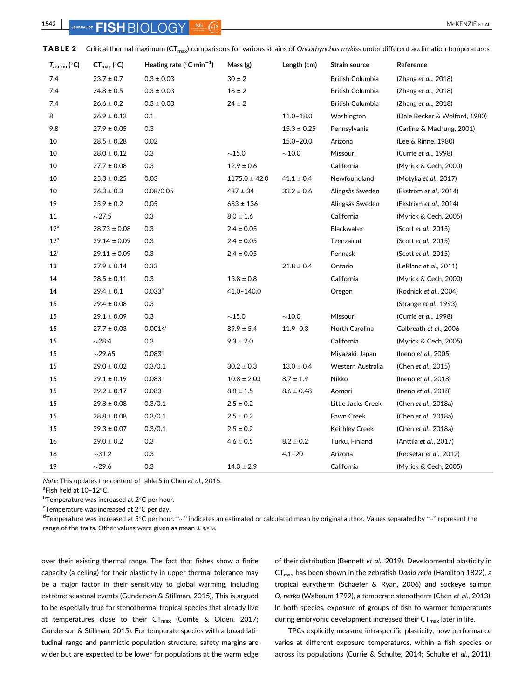| $T_{\text{acclim}}$ (°C) | $CT_{\text{max}}$ (°C) | Heating rate ( $^{\circ}$ C min <sup>-1</sup> ) | Mass (g)          | Length (cm)     | Strain source      | Reference                     |
|--------------------------|------------------------|-------------------------------------------------|-------------------|-----------------|--------------------|-------------------------------|
| 7.4                      | $23.7 \pm 0.7$         | $0.3 \pm 0.03$                                  | $30 \pm 2$        |                 | British Columbia   | (Zhang et al., 2018)          |
| 7.4                      | $24.8 \pm 0.5$         | $0.3 \pm 0.03$                                  | $18 \pm 2$        |                 | British Columbia   | (Zhang et al., 2018)          |
| 7.4                      | $26.6 \pm 0.2$         | $0.3 \pm 0.03$                                  | $24 \pm 2$        |                 | British Columbia   | (Zhang et al., 2018)          |
| 8                        | $26.9\pm0.12$          | 0.1                                             |                   | $11.0 - 18.0$   | Washington         | (Dale Becker & Wolford, 1980) |
| 9.8                      | $27.9 \pm 0.05$        | 0.3                                             |                   | $15.3 \pm 0.25$ | Pennsylvania       | (Carline & Machung, 2001)     |
| 10                       | $28.5 \pm 0.28$        | 0.02                                            |                   | $15.0 - 20.0$   | Arizona            | (Lee & Rinne, 1980)           |
| 10                       | $28.0 \pm 0.12$        | 0.3                                             | ${\sim}15.0$      | $\sim$ 10.0     | Missouri           | (Currie et al., 1998)         |
| 10                       | $27.7 \pm 0.08$        | 0.3                                             | $12.9 \pm 0.6$    |                 | California         | (Myrick & Cech, 2000)         |
| 10                       | $25.3 \pm 0.25$        | 0.03                                            | $1175.0 \pm 42.0$ | $41.1 \pm 0.4$  | Newfoundland       | (Motyka et al., 2017)         |
| 10                       | $26.3 \pm 0.3$         | 0.08/0.05                                       | $487 \pm 34$      | $33.2 \pm 0.6$  | Alingsås Sweden    | (Ekström et al., 2014)        |
| 19                       | $25.9 \pm 0.2$         | 0.05                                            | $683 \pm 136$     |                 | Alingsås Sweden    | (Ekström et al., 2014)        |
| 11                       | $\sim$ 27.5            | 0.3                                             | $8.0 \pm 1.6$     |                 | California         | (Myrick & Cech, 2005)         |
| $12^a$                   | $28.73 \pm 0.08$       | 0.3                                             | $2.4 \pm 0.05$    |                 | Blackwater         | (Scott et al., 2015)          |
| $12^a$                   | $29.14 \pm 0.09$       | 0.3                                             | $2.4 \pm 0.05$    |                 | Tzenzaicut         | (Scott et al., 2015)          |
| $12^a$                   | $29.11 \pm 0.09$       | 0.3                                             | $2.4 \pm 0.05$    |                 | Pennask            | (Scott et al., 2015)          |
| 13                       | $27.9 \pm 0.14$        | 0.33                                            |                   | $21.8 \pm 0.4$  | Ontario            | (LeBlanc et al., 2011)        |
| 14                       | $28.5 \pm 0.11$        | 0.3                                             | $13.8 \pm 0.8$    |                 | California         | (Myrick & Cech, 2000)         |
| 14                       | $29.4 \pm 0.1$         | 0.033 <sup>b</sup>                              | 41.0-140.0        |                 | Oregon             | (Rodnick et al., 2004)        |
| 15                       | $29.4 \pm 0.08$        | 0.3                                             |                   |                 |                    | (Strange et al., 1993)        |
| 15                       | $29.1 \pm 0.09$        | 0.3                                             | ${\sim}15.0$      | ${\sim}10.0$    | Missouri           | (Currie et al., 1998)         |
| 15                       | $27.7 \pm 0.03$        | 0.0014 <sup>c</sup>                             | $89.9 \pm 5.4$    | $11.9 - 0.3$    | North Carolina     | Galbreath et al., 2006        |
| 15                       | $\sim$ 28.4            | 0.3                                             | $9.3 \pm 2.0$     |                 | California         | (Myrick & Cech, 2005)         |
| 15                       | $\sim$ 29.65           | 0.083 <sup>d</sup>                              |                   |                 | Miyazaki, Japan    | (Ineno et al., 2005)          |
| 15                       | $29.0 \pm 0.02$        | 0.3/0.1                                         | $30.2 \pm 0.3$    | $13.0 \pm 0.4$  | Western Australia  | (Chen et al., 2015)           |
| 15                       | $29.1 \pm 0.19$        | 0.083                                           | $10.8 \pm 2.03$   | $8.7 \pm 1.9$   | Nikko              | (Ineno <i>et al.</i> , 2018)  |
| 15                       | $29.2 \pm 0.17$        | 0.083                                           | $8.8 \pm 1.5$     | $8.6 \pm 0.48$  | Aomori             | (Ineno et al., 2018)          |
| 15                       | $29.8 \pm 0.08$        | 0.3/0.1                                         | $2.5 \pm 0.2$     |                 | Little Jacks Creek | (Chen et al., 2018a)          |
| 15                       | $28.8 \pm 0.08$        | 0.3/0.1                                         | $2.5 \pm 0.2$     |                 | Fawn Creek         | (Chen et al., 2018a)          |
| 15                       | $29.3 \pm 0.07$        | 0.3/0.1                                         | $2.5 \pm 0.2$     |                 | Keithley Creek     | (Chen et al., 2018a)          |
| 16                       | $29.0 \pm 0.2$         | 0.3                                             | $4.6 \pm 0.5$     | $8.2 \pm 0.2$   | Turku, Finland     | (Anttila et al., 2017)        |
| 18                       | $\sim$ 31.2            | 0.3                                             |                   | $4.1 - 20$      | Arizona            | (Recsetar et al., 2012)       |
| 19                       | $\sim$ 29.6            | 0.3                                             | $14.3 \pm 2.9$    |                 | California         | (Myrick & Cech, 2005)         |

TABLE 2 Critical thermal maximum (CT<sub>max</sub>) comparisons for various strains of Oncorhynchus mykiss under different acclimation temperatures

Note: This updates the content of table 5 in Chen et al., 2015.

 ${}^{\circ}$ Fish held at 10-12 ${}^{\circ}$ C.

 $^{\rm b}$ Temperature was increased at 2 $^{\circ}$ C per hour.

 $\mathrm{c}\mathsf{T}$ emperature was increased at 2 $\mathrm{c}\mathsf{C}$  per day.

 $^{\sf d}$ Temperature was increased at 5°C per hour. " $\sim$ " indicates an estimated or calculated mean by original author. Values separated by "–" represent the range of the traits. Other values were given as mean  $\pm$  s.E.M.

over their existing thermal range. The fact that fishes show a finite capacity (a ceiling) for their plasticity in upper thermal tolerance may be a major factor in their sensitivity to global warming, including extreme seasonal events (Gunderson & Stillman, 2015). This is argued to be especially true for stenothermal tropical species that already live at temperatures close to their  $CT_{max}$  (Comte & Olden, 2017; Gunderson & Stillman, 2015). For temperate species with a broad latitudinal range and panmictic population structure, safety margins are wider but are expected to be lower for populations at the warm edge of their distribution (Bennett et al., 2019). Developmental plasticity in  $CT_{max}$  has been shown in the zebrafish Danio rerio (Hamilton 1822), a tropical eurytherm (Schaefer & Ryan, 2006) and sockeye salmon O. nerka (Walbaum 1792), a temperate stenotherm (Chen et al., 2013). In both species, exposure of groups of fish to warmer temperatures during embryonic development increased their  $CT_{\text{max}}$  later in life.

TPCs explicitly measure intraspecific plasticity, how performance varies at different exposure temperatures, within a fish species or across its populations (Currie & Schulte, 2014; Schulte et al., 2011).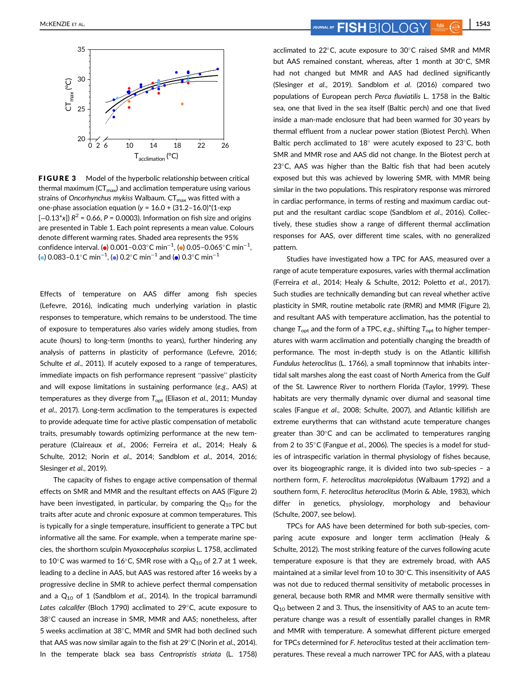

FIGURE 3 Model of the hyperbolic relationship between critical thermal maximum ( $CT_{max}$ ) and acclimation temperature using various strains of Oncorhynchus mykiss Walbaum.  $CT_{max}$  was fitted with a one-phase association equation ( $y = 16.0 + (31.2 - 16.0)^*(1$ -exp  $[-0.13^*x]$ )  $R^2 = 0.66$ ,  $P = 0.0003$ ). Information on fish size and origins are presented in Table 1. Each point represents a mean value. Colours denote different warming rates. Shaded area represents the 95% confidence interval. ( $\bullet$ ) 0.001–0.03°C min<sup>-1</sup>, ( $\bullet$ ) 0.05–0.065°C min<sup>-1</sup>, (●) 0.083–0.1°C min $^{-1}$ , (●) 0.2°C min $^{-1}$  and (●) 0.3°C min $^{-1}$ 

Effects of temperature on AAS differ among fish species (Lefevre, 2016), indicating much underlying variation in plastic responses to temperature, which remains to be understood. The time of exposure to temperatures also varies widely among studies, from acute (hours) to long-term (months to years), further hindering any analysis of patterns in plasticity of performance (Lefevre, 2016; Schulte et al., 2011). If acutely exposed to a range of temperatures, immediate impacts on fish performance represent "passive" plasticity and will expose limitations in sustaining performance (e.g., AAS) at temperatures as they diverge from  $T_{\text{opt}}$  (Eliason et al., 2011; Munday et al., 2017). Long-term acclimation to the temperatures is expected to provide adequate time for active plastic compensation of metabolic traits, presumably towards optimizing performance at the new temperature (Claireaux et al., 2006; Ferreira et al., 2014; Healy & Schulte, 2012; Norin et al., 2014; Sandblom et al., 2014, 2016; Slesinger et al., 2019).

The capacity of fishes to engage active compensation of thermal effects on SMR and MMR and the resultant effects on AAS (Figure 2) have been investigated, in particular, by comparing the  $Q_{10}$  for the traits after acute and chronic exposure at common temperatures. This is typically for a single temperature, insufficient to generate a TPC but informative all the same. For example, when a temperate marine species, the shorthorn sculpin Myoxocephalus scorpius L. 1758, acclimated to 10 $^{\circ}$ C was warmed to 16 $^{\circ}$ C, SMR rose with a Q<sub>10</sub> of 2.7 at 1 week, leading to a decline in AAS, but AAS was restored after 16 weeks by a progressive decline in SMR to achieve perfect thermal compensation and a  $Q_{10}$  of 1 (Sandblom et al., 2014). In the tropical barramundi Lates calcalifer (Bloch 1790) acclimated to 29 $^{\circ}$ C, acute exposure to 38°C caused an increase in SMR, MMR and AAS; nonetheless, after 5 weeks acclimation at 38°C, MMR and SMR had both declined such that AAS was now similar again to the fish at  $29^{\circ}$ C (Norin et al., 2014). In the temperate black sea bass Centropristis striata (L. 1758)

MCKENZIE ET AL. **1543** JOURNAL OF **FISH**  $\bigcirc$   $\bigcirc$   $\bigcirc$   $\bigcirc$   $\bigcirc$   $\bigcirc$   $\bigcirc$   $\bigcirc$   $\bigcirc$   $\bigcirc$   $\bigcirc$   $\bigcirc$   $\bigcirc$   $\bigcirc$   $\bigcirc$   $\bigcirc$   $\bigcirc$   $\bigcirc$   $\bigcirc$   $\bigcirc$   $\bigcirc$   $\bigcirc$   $\bigcirc$   $\bigcirc$   $\bigcirc$   $\bigcirc$   $\bigcirc$   $\bigcirc$   $\bigcirc$   $\bigcirc$ 

acclimated to  $22^{\circ}$ C, acute exposure to  $30^{\circ}$ C raised SMR and MMR but AAS remained constant, whereas, after 1 month at 30°C, SMR had not changed but MMR and AAS had declined significantly (Slesinger et al., 2019). Sandblom et al. (2016) compared two populations of European perch Perca fluviatilis L. 1758 in the Baltic sea, one that lived in the sea itself (Baltic perch) and one that lived inside a man-made enclosure that had been warmed for 30 years by thermal effluent from a nuclear power station (Biotest Perch). When Baltic perch acclimated to  $18^{\circ}$  were acutely exposed to  $23^{\circ}$ C, both SMR and MMR rose and AAS did not change. In the Biotest perch at  $23^{\circ}$ C, AAS was higher than the Baltic fish that had been acutely exposed but this was achieved by lowering SMR, with MMR being similar in the two populations. This respiratory response was mirrored in cardiac performance, in terms of resting and maximum cardiac output and the resultant cardiac scope (Sandblom et al., 2016). Collectively, these studies show a range of different thermal acclimation responses for AAS, over different time scales, with no generalized pattern.

Studies have investigated how a TPC for AAS, measured over a range of acute temperature exposures, varies with thermal acclimation (Ferreira et al., 2014; Healy & Schulte, 2012; Poletto et al., 2017). Such studies are technically demanding but can reveal whether active plasticity in SMR, routine metabolic rate (RMR) and MMR (Figure 2), and resultant AAS with temperature acclimation, has the potential to change  $T_{\text{opt}}$  and the form of a TPC, e.g., shifting  $T_{\text{opt}}$  to higher temperatures with warm acclimation and potentially changing the breadth of performance. The most in-depth study is on the Atlantic killifish Fundulus heteroclitus (L. 1766), a small topminnow that inhabits intertidal salt marshes along the east coast of North America from the Gulf of the St. Lawrence River to northern Florida (Taylor, 1999). These habitats are very thermally dynamic over diurnal and seasonal time scales (Fangue et al., 2008; Schulte, 2007), and Atlantic killifish are extreme eurytherms that can withstand acute temperature changes greater than  $30^{\circ}$ C and can be acclimated to temperatures ranging from 2 to  $35^{\circ}$ C (Fangue et al., 2006). The species is a model for studies of intraspecific variation in thermal physiology of fishes because, over its biogeographic range, it is divided into two sub-species – a northern form, F. heteroclitus macrolepidotus (Walbaum 1792) and a southern form, F. heteroclitus heteroclitus (Morin & Able, 1983), which differ in genetics, physiology, morphology and behaviour (Schulte, 2007, see below).

TPCs for AAS have been determined for both sub-species, comparing acute exposure and longer term acclimation (Healy & Schulte, 2012). The most striking feature of the curves following acute temperature exposure is that they are extremely broad, with AAS maintained at a similar level from 10 to 30°C. This insensitivity of AAS was not due to reduced thermal sensitivity of metabolic processes in general, because both RMR and MMR were thermally sensitive with  $Q_{10}$  between 2 and 3. Thus, the insensitivity of AAS to an acute temperature change was a result of essentially parallel changes in RMR and MMR with temperature. A somewhat different picture emerged for TPCs determined for F. heteroclitus tested at their acclimation temperatures. These reveal a much narrower TPC for AAS, with a plateau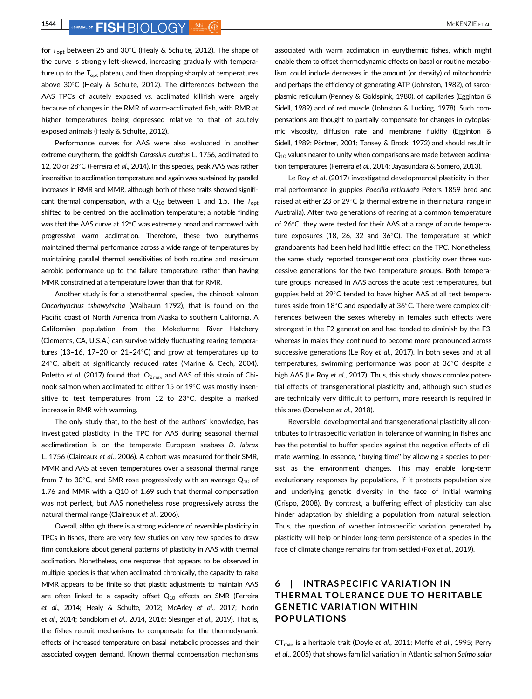**1544** JOURNAL OF **FISH** RIOL OGY 560 C **FISH** RIOL OF **FISH** 

for  $T_{\text{out}}$  between 25 and 30°C (Healy & Schulte, 2012). The shape of the curve is strongly left-skewed, increasing gradually with temperature up to the  $T_{\text{opt}}$  plateau, and then dropping sharply at temperatures above 30 $\degree$ C (Healy & Schulte, 2012). The differences between the AAS TPCs of acutely exposed vs. acclimated killifish were largely because of changes in the RMR of warm-acclimated fish, with RMR at higher temperatures being depressed relative to that of acutely exposed animals (Healy & Schulte, 2012).

Performance curves for AAS were also evaluated in another extreme eurytherm, the goldfish Carassius auratus L. 1756, acclimated to 12, 20 or 28°C (Ferreira et al., 2014). In this species, peak AAS was rather insensitive to acclimation temperature and again was sustained by parallel increases in RMR and MMR, although both of these traits showed significant thermal compensation, with a  $Q_{10}$  between 1 and 1.5. The  $T_{opt}$ shifted to be centred on the acclimation temperature; a notable finding was that the AAS curve at  $12^{\circ}$ C was extremely broad and narrowed with progressive warm acclimation. Therefore, these two eurytherms maintained thermal performance across a wide range of temperatures by maintaining parallel thermal sensitivities of both routine and maximum aerobic performance up to the failure temperature, rather than having MMR constrained at a temperature lower than that for RMR.

Another study is for a stenothermal species, the chinook salmon Oncorhynchus tshawytscha (Walbaum 1792), that is found on the Pacific coast of North America from Alaska to southern California. A Californian population from the Mokelumne River Hatchery (Clements, CA, U.S.A.) can survive widely fluctuating rearing temperatures (13-16, 17-20 or 21-24 $\textdegree$ C) and grow at temperatures up to  $24^{\circ}$ C, albeit at significantly reduced rates (Marine & Cech, 2004). Poletto et al. (2017) found that  $O_{2\text{max}}$  and AAS of this strain of Chinook salmon when acclimated to either 15 or  $19^{\circ}$ C was mostly insensitive to test temperatures from 12 to 23 $^{\circ}$ C, despite a marked increase in RMR with warming.

The only study that, to the best of the authors' knowledge, has investigated plasticity in the TPC for AAS during seasonal thermal acclimatization is on the temperate European seabass D. labrax L. 1756 (Claireaux et al., 2006). A cohort was measured for their SMR, MMR and AAS at seven temperatures over a seasonal thermal range from 7 to 30 $^{\circ}$ C, and SMR rose progressively with an average  $Q_{10}$  of 1.76 and MMR with a Q10 of 1.69 such that thermal compensation was not perfect, but AAS nonetheless rose progressively across the natural thermal range (Claireaux et al., 2006).

Overall, although there is a strong evidence of reversible plasticity in TPCs in fishes, there are very few studies on very few species to draw firm conclusions about general patterns of plasticity in AAS with thermal acclimation. Nonetheless, one response that appears to be observed in multiple species is that when acclimated chronically, the capacity to raise MMR appears to be finite so that plastic adjustments to maintain AAS are often linked to a capacity offset  $Q_{10}$  effects on SMR (Ferreira et al., 2014; Healy & Schulte, 2012; McArley et al., 2017; Norin et al., 2014; Sandblom et al., 2014, 2016; Slesinger et al., 2019). That is, the fishes recruit mechanisms to compensate for the thermodynamic effects of increased temperature on basal metabolic processes and their associated oxygen demand. Known thermal compensation mechanisms associated with warm acclimation in eurythermic fishes, which might enable them to offset thermodynamic effects on basal or routine metabolism, could include decreases in the amount (or density) of mitochondria and perhaps the efficiency of generating ATP (Johnston, 1982), of sarcoplasmic reticulum (Penney & Goldspink, 1980), of capillaries (Egginton & Sidell, 1989) and of red muscle (Johnston & Lucking, 1978). Such compensations are thought to partially compensate for changes in cytoplasmic viscosity, diffusion rate and membrane fluidity (Egginton & Sidell, 1989; Pörtner, 2001; Tansey & Brock, 1972) and should result in  $Q_{10}$  values nearer to unity when comparisons are made between acclimation temperatures (Ferreira et al., 2014; Jayasundara & Somero, 2013).

Le Roy et al. (2017) investigated developmental plasticity in thermal performance in guppies Poecilia reticulata Peters 1859 bred and raised at either 23 or 29°C (a thermal extreme in their natural range in Australia). After two generations of rearing at a common temperature of 26°C, they were tested for their AAS at a range of acute temperature exposures (18, 26, 32 and  $36^{\circ}$ C). The temperature at which grandparents had been held had little effect on the TPC. Nonetheless, the same study reported transgenerational plasticity over three successive generations for the two temperature groups. Both temperature groups increased in AAS across the acute test temperatures, but guppies held at 29°C tended to have higher AAS at all test temperatures aside from  $18^{\circ}$ C and especially at  $36^{\circ}$ C. There were complex differences between the sexes whereby in females such effects were strongest in the F2 generation and had tended to diminish by the F3, whereas in males they continued to become more pronounced across successive generations (Le Roy et al., 2017). In both sexes and at all temperatures, swimming performance was poor at 36°C despite a high AAS (Le Roy et al., 2017). Thus, this study shows complex potential effects of transgenerational plasticity and, although such studies are technically very difficult to perform, more research is required in this area (Donelson et al., 2018).

Reversible, developmental and transgenerational plasticity all contributes to intraspecific variation in tolerance of warming in fishes and has the potential to buffer species against the negative effects of climate warming. In essence, "buying time" by allowing a species to persist as the environment changes. This may enable long-term evolutionary responses by populations, if it protects population size and underlying genetic diversity in the face of initial warming (Crispo, 2008). By contrast, a buffering effect of plasticity can also hinder adaptation by shielding a population from natural selection. Thus, the question of whether intraspecific variation generated by plasticity will help or hinder long-term persistence of a species in the face of climate change remains far from settled (Fox et al., 2019).

# 6 | INTRASPECIFIC VARIATION IN THERMAL TOLERANCE DUE TO HERITABLE GENETIC VARIATION WITHIN POPULATIONS

 $CT_{max}$  is a heritable trait (Doyle et al., 2011; Meffe et al., 1995; Perry et al., 2005) that shows familial variation in Atlantic salmon Salmo salar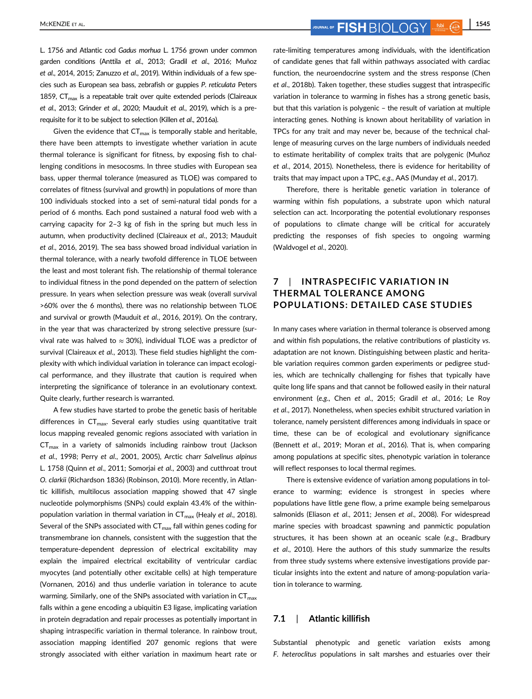MCKENZIE ET AL. **1545 FISH**  $\bigcirc$   $\bigcirc$   $\bigcirc$   $\bigcirc$   $\bigcirc$   $\bigcirc$   $\bigcirc$   $\bigcirc$   $\bigcirc$   $\bigcirc$   $\bigcirc$   $\bigcirc$   $\bigcirc$   $\bigcirc$   $\bigcirc$   $\bigcirc$   $\bigcirc$   $\bigcirc$   $\bigcirc$   $\bigcirc$   $\bigcirc$   $\bigcirc$   $\bigcirc$   $\bigcirc$   $\bigcirc$   $\bigcirc$   $\bigcirc$   $\bigcirc$   $\bigcirc$   $\bigcirc$   $\bigcirc$   $\bigcirc$ 

L. 1756 and Atlantic cod Gadus morhua L. 1756 grown under common garden conditions (Anttila et al., 2013; Gradil et al., 2016; Muñoz et al., 2014, 2015; Zanuzzo et al., 2019). Within individuals of a few species such as European sea bass, zebrafish or guppies P. reticulata Peters 1859,  $CT_{\text{max}}$  is a repeatable trait over quite extended periods (Claireaux et al., 2013; Grinder et al., 2020; Mauduit et al., 2019), which is a prerequisite for it to be subject to selection (Killen et al., 2016a).

Given the evidence that  $CT_{max}$  is temporally stable and heritable, there have been attempts to investigate whether variation in acute thermal tolerance is significant for fitness, by exposing fish to challenging conditions in mesocosms. In three studies with European sea bass, upper thermal tolerance (measured as TLOE) was compared to correlates of fitness (survival and growth) in populations of more than 100 individuals stocked into a set of semi-natural tidal ponds for a period of 6 months. Each pond sustained a natural food web with a carrying capacity for 2–3 kg of fish in the spring but much less in autumn, when productivity declined (Claireaux et al., 2013; Mauduit et al., 2016, 2019). The sea bass showed broad individual variation in thermal tolerance, with a nearly twofold difference in TLOE between the least and most tolerant fish. The relationship of thermal tolerance to individual fitness in the pond depended on the pattern of selection pressure. In years when selection pressure was weak (overall survival >60% over the 6 months), there was no relationship between TLOE and survival or growth (Mauduit et al., 2016, 2019). On the contrary, in the year that was characterized by strong selective pressure (survival rate was halved to  $\approx$  30%), individual TLOE was a predictor of survival (Claireaux et al., 2013). These field studies highlight the complexity with which individual variation in tolerance can impact ecological performance, and they illustrate that caution is required when interpreting the significance of tolerance in an evolutionary context. Quite clearly, further research is warranted.

A few studies have started to probe the genetic basis of heritable differences in  $CT_{\text{max}}$ . Several early studies using quantitative trait locus mapping revealed genomic regions associated with variation in  $CT_{\text{max}}$  in a variety of salmonids including rainbow trout (Jackson et al., 1998; Perry et al., 2001, 2005), Arctic charr Salvelinus alpinus L. 1758 (Quinn et al., 2011; Somorjai et al., 2003) and cutthroat trout O. clarkii (Richardson 1836) (Robinson, 2010). More recently, in Atlantic killifish, multilocus association mapping showed that 47 single nucleotide polymorphisms (SNPs) could explain 43.4% of the withinpopulation variation in thermal variation in  $CT_{max}$  (Healy et al., 2018). Several of the SNPs associated with  $CT_{max}$  fall within genes coding for transmembrane ion channels, consistent with the suggestion that the temperature-dependent depression of electrical excitability may explain the impaired electrical excitability of ventricular cardiac myocytes (and potentially other excitable cells) at high temperature (Vornanen, 2016) and thus underlie variation in tolerance to acute warming. Similarly, one of the SNPs associated with variation in  $CT_{max}$ falls within a gene encoding a ubiquitin E3 ligase, implicating variation in protein degradation and repair processes as potentially important in shaping intraspecific variation in thermal tolerance. In rainbow trout, association mapping identified 207 genomic regions that were strongly associated with either variation in maximum heart rate or rate-limiting temperatures among individuals, with the identification of candidate genes that fall within pathways associated with cardiac function, the neuroendocrine system and the stress response (Chen et al., 2018b). Taken together, these studies suggest that intraspecific variation in tolerance to warming in fishes has a strong genetic basis, but that this variation is polygenic – the result of variation at multiple interacting genes. Nothing is known about heritability of variation in TPCs for any trait and may never be, because of the technical challenge of measuring curves on the large numbers of individuals needed to estimate heritability of complex traits that are polygenic (Muñoz et al., 2014, 2015). Nonetheless, there is evidence for heritability of traits that may impact upon a TPC, e.g., AAS (Munday et al., 2017).

Therefore, there is heritable genetic variation in tolerance of warming within fish populations, a substrate upon which natural selection can act. Incorporating the potential evolutionary responses of populations to climate change will be critical for accurately predicting the responses of fish species to ongoing warming (Waldvogel et al., 2020).

# 7 | INTRASPECIFIC VARIATION IN THERMAL TOLERANCE AMONG POPULATIONS: DETAILED CASE STUDIES

In many cases where variation in thermal tolerance is observed among and within fish populations, the relative contributions of plasticity vs. adaptation are not known. Distinguishing between plastic and heritable variation requires common garden experiments or pedigree studies, which are technically challenging for fishes that typically have quite long life spans and that cannot be followed easily in their natural environment (e.g., Chen et al., 2015; Gradil et al., 2016; Le Roy et al., 2017). Nonetheless, when species exhibit structured variation in tolerance, namely persistent differences among individuals in space or time, these can be of ecological and evolutionary significance (Bennett et al., 2019; Moran et al., 2016). That is, when comparing among populations at specific sites, phenotypic variation in tolerance will reflect responses to local thermal regimes.

There is extensive evidence of variation among populations in tolerance to warming; evidence is strongest in species where populations have little gene flow, a prime example being semelparous salmonids (Eliason et al., 2011; Jensen et al., 2008). For widespread marine species with broadcast spawning and panmictic population structures, it has been shown at an oceanic scale (e.g., Bradbury et al., 2010). Here the authors of this study summarize the results from three study systems where extensive investigations provide particular insights into the extent and nature of among-population variation in tolerance to warming.

#### 7.1 | Atlantic killifish

Substantial phenotypic and genetic variation exists among F. heteroclitus populations in salt marshes and estuaries over their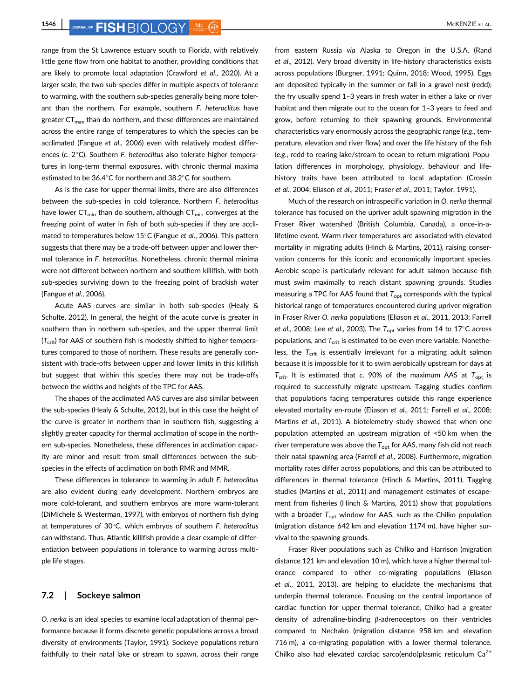**1546 MCKENZIE ET AL. MCKENZIE ET AL.** 

range from the St Lawrence estuary south to Florida, with relatively little gene flow from one habitat to another, providing conditions that are likely to promote local adaptation (Crawford et al., 2020). At a larger scale, the two sub-species differ in multiple aspects of tolerance to warming, with the southern sub-species generally being more tolerant than the northern. For example, southern F. heteroclitus have greater  $CT_{max}$  than do northern, and these differences are maintained across the entire range of temperatures to which the species can be acclimated (Fangue et al., 2006) even with relatively modest differences (c.  $2^{\circ}$ C). Southern F. heteroclitus also tolerate higher temperatures in long-term thermal exposures, with chronic thermal maxima estimated to be  $36.4^{\circ}$ C for northern and  $38.2^{\circ}$ C for southern.

As is the case for upper thermal limits, there are also differences between the sub-species in cold tolerance. Northern F. heteroclitus have lower  $CT_{min}$  than do southern, although  $CT_{min}$  converges at the freezing point of water in fish of both sub-species if they are acclimated to temperatures below  $15^{\circ}$ C (Fangue et al., 2006). This pattern suggests that there may be a trade-off between upper and lower thermal tolerance in F. heteroclitus. Nonetheless, chronic thermal minima were not different between northern and southern killifish, with both sub-species surviving down to the freezing point of brackish water (Fangue et al., 2006).

Acute AAS curves are similar in both sub-species (Healy & Schulte, 2012). In general, the height of the acute curve is greater in southern than in northern sub-species, and the upper thermal limit  $(T_{\text{crit}})$  for AAS of southern fish is modestly shifted to higher temperatures compared to those of northern. These results are generally consistent with trade-offs between upper and lower limits in this killifish but suggest that within this species there may not be trade-offs between the widths and heights of the TPC for AAS.

The shapes of the acclimated AAS curves are also similar between the sub-species (Healy & Schulte, 2012), but in this case the height of the curve is greater in northern than in southern fish, suggesting a slightly greater capacity for thermal acclimation of scope in the northern sub-species. Nonetheless, these differences in acclimation capacity are minor and result from small differences between the subspecies in the effects of acclimation on both RMR and MMR.

These differences in tolerance to warming in adult F. heteroclitus are also evident during early development. Northern embryos are more cold-tolerant, and southern embryos are more warm-tolerant (DiMichele & Westerman, 1997), with embryos of northern fish dying at temperatures of  $30^{\circ}$ C, which embryos of southern F. heteroclitus can withstand. Thus, Atlantic killifish provide a clear example of differentiation between populations in tolerance to warming across multiple life stages.

#### 7.2 | Sockeye salmon

O. nerka is an ideal species to examine local adaptation of thermal performance because it forms discrete genetic populations across a broad diversity of environments (Taylor, 1991). Sockeye populations return faithfully to their natal lake or stream to spawn, across their range from eastern Russia via Alaska to Oregon in the U.S.A. (Rand et al., 2012). Very broad diversity in life-history characteristics exists across populations (Burgner, 1991; Quinn, 2018; Wood, 1995). Eggs are deposited typically in the summer or fall in a gravel nest (redd); the fry usually spend 1–3 years in fresh water in either a lake or river habitat and then migrate out to the ocean for 1-3 years to feed and grow, before returning to their spawning grounds. Environmental characteristics vary enormously across the geographic range (e.g., temperature, elevation and river flow) and over the life history of the fish (e.g., redd to rearing lake/stream to ocean to return migration). Population differences in morphology, physiology, behaviour and lifehistory traits have been attributed to local adaptation (Crossin et al., 2004; Eliason et al., 2011; Fraser et al., 2011; Taylor, 1991).

Much of the research on intraspecific variation in O. nerka thermal tolerance has focused on the upriver adult spawning migration in the Fraser River watershed (British Columbia, Canada), a once-in-alifetime event. Warm river temperatures are associated with elevated mortality in migrating adults (Hinch & Martins, 2011), raising conservation concerns for this iconic and economically important species. Aerobic scope is particularly relevant for adult salmon because fish must swim maximally to reach distant spawning grounds. Studies measuring a TPC for AAS found that  $T_{\rm opt}$  corresponds with the typical historical range of temperatures encountered during upriver migration in Fraser River O. nerka populations (Eliason et al., 2011, 2013; Farrell et al., 2008; Lee et al., 2003). The  $T_{\text{opt}}$  varies from 14 to 17°C across populations, and  $T_{\text{crit}}$  is estimated to be even more variable. Nonetheless, the  $T_{\text{crit}}$  is essentially irrelevant for a migrating adult salmon because it is impossible for it to swim aerobically upstream for days at  $T_{\text{crit}}$ . It is estimated that c. 90% of the maximum AAS at  $T_{\text{opt}}$  is required to successfully migrate upstream. Tagging studies confirm that populations facing temperatures outside this range experience elevated mortality en-route (Eliason et al., 2011; Farrell et al., 2008; Martins et al., 2011). A biotelemetry study showed that when one population attempted an upstream migration of <50 km when the river temperature was above the  $T_{\rm opt}$  for AAS, many fish did not reach their natal spawning area (Farrell et al., 2008). Furthermore, migration mortality rates differ across populations, and this can be attributed to differences in thermal tolerance (Hinch & Martins, 2011). Tagging studies (Martins et al., 2011) and management estimates of escapement from fisheries (Hinch & Martins, 2011) show that populations with a broader  $T_{opt}$  window for AAS, such as the Chilko population (migration distance 642 km and elevation 1174 m), have higher survival to the spawning grounds.

Fraser River populations such as Chilko and Harrison (migration distance 121 km and elevation 10 m), which have a higher thermal tolerance compared to other co-migrating populations (Eliason et al., 2011, 2013), are helping to elucidate the mechanisms that underpin thermal tolerance. Focusing on the central importance of cardiac function for upper thermal tolerance, Chilko had a greater density of adrenaline-binding β-adrenoceptors on their ventricles compared to Nechako (migration distance 958 km and elevation 716 m), a co-migrating population with a lower thermal tolerance. Chilko also had elevated cardiac sarco(endo)plasmic reticulum  $Ca^{2+}$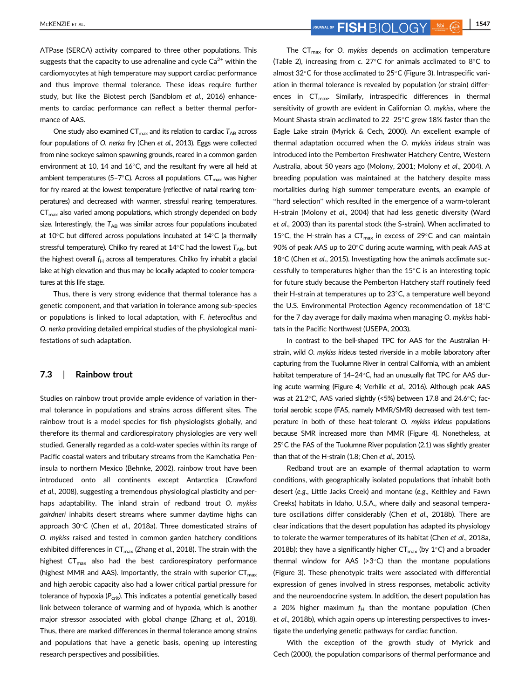ATPase (SERCA) activity compared to three other populations. This suggests that the capacity to use adrenaline and cycle  $Ca<sup>2+</sup>$  within the cardiomyocytes at high temperature may support cardiac performance and thus improve thermal tolerance. These ideas require further study, but like the Biotest perch (Sandblom et al., 2016) enhancements to cardiac performance can reflect a better thermal performance of AAS.

One study also examined  $CT_{max}$  and its relation to cardiac  $T_{AB}$  across four populations of O. nerka fry (Chen et al., 2013). Eggs were collected from nine sockeye salmon spawning grounds, reared in a common garden environment at 10, 14 and 16 $^{\circ}$ C, and the resultant fry were all held at ambient temperatures (5-7 $^{\circ}$ C). Across all populations, CT<sub>max</sub> was higher for fry reared at the lowest temperature (reflective of natal rearing temperatures) and decreased with warmer, stressful rearing temperatures. CT<sub>max</sub> also varied among populations, which strongly depended on body size. Interestingly, the  $T_{AB}$  was similar across four populations incubated at 10 $^{\circ}$ C but differed across populations incubated at 14 $^{\circ}$ C (a thermally stressful temperature). Chilko fry reared at  $14^{\circ}$ C had the lowest  $T_{AB}$ , but the highest overall  $f_H$  across all temperatures. Chilko fry inhabit a glacial lake at high elevation and thus may be locally adapted to cooler temperatures at this life stage.

Thus, there is very strong evidence that thermal tolerance has a genetic component, and that variation in tolerance among sub-species or populations is linked to local adaptation, with F. heteroclitus and O. nerka providing detailed empirical studies of the physiological manifestations of such adaptation.

#### 7.3 | Rainbow trout

Studies on rainbow trout provide ample evidence of variation in thermal tolerance in populations and strains across different sites. The rainbow trout is a model species for fish physiologists globally, and therefore its thermal and cardiorespiratory physiologies are very well studied. Generally regarded as a cold-water species within its range of Pacific coastal waters and tributary streams from the Kamchatka Peninsula to northern Mexico (Behnke, 2002), rainbow trout have been introduced onto all continents except Antarctica (Crawford et al., 2008), suggesting a tremendous physiological plasticity and perhaps adaptability. The inland strain of redband trout O. mykiss gairdneri inhabits desert streams where summer daytime highs can approach  $30^{\circ}$ C (Chen et al., 2018a). Three domesticated strains of O. mykiss raised and tested in common garden hatchery conditions exhibited differences in  $CT_{\text{max}}$  (Zhang et al., 2018). The strain with the highest  $CT_{\text{max}}$  also had the best cardiorespiratory performance (highest MMR and AAS). Importantly, the strain with superior  $CT_{max}$ and high aerobic capacity also had a lower critical partial pressure for tolerance of hypoxia ( $P_{\text{crit}}$ ). This indicates a potential genetically based link between tolerance of warming and of hypoxia, which is another major stressor associated with global change (Zhang et al., 2018). Thus, there are marked differences in thermal tolerance among strains and populations that have a genetic basis, opening up interesting research perspectives and possibilities.

The  $CT_{\text{max}}$  for O. mykiss depends on acclimation temperature (Table 2), increasing from c. 27 $\textdegree$ C for animals acclimated to 8 $\textdegree$ C to almost 32°C for those acclimated to 25°C (Figure 3). Intraspecific variation in thermal tolerance is revealed by population (or strain) differences in  $CT_{max}$ . Similarly, intraspecific differences in thermal sensitivity of growth are evident in Californian O. mykiss, where the Mount Shasta strain acclimated to 22-25°C grew 18% faster than the Eagle Lake strain (Myrick & Cech, 2000). An excellent example of thermal adaptation occurred when the O. mykiss irideus strain was introduced into the Pemberton Freshwater Hatchery Centre, Western Australia, about 50 years ago (Molony, 2001; Molony et al., 2004). A breeding population was maintained at the hatchery despite mass mortalities during high summer temperature events, an example of "hard selection" which resulted in the emergence of a warm-tolerant H-strain (Molony et al., 2004) that had less genetic diversity (Ward et al., 2003) than its parental stock (the S-strain). When acclimated to 15°C, the H-strain has a  $CT_{max}$  in excess of 29°C and can maintain 90% of peak AAS up to 20°C during acute warming, with peak AAS at  $18^{\circ}$ C (Chen et al., 2015). Investigating how the animals acclimate successfully to temperatures higher than the  $15^{\circ}$ C is an interesting topic for future study because the Pemberton Hatchery staff routinely feed their H-strain at temperatures up to  $23^{\circ}$ C, a temperature well beyond the U.S. Environmental Protection Agency recommendation of  $18^{\circ}$ C for the 7 day average for daily maxima when managing O. mykiss habitats in the Pacific Northwest (USEPA, 2003).

In contrast to the bell-shaped TPC for AAS for the Australian Hstrain, wild O. mykiss irideus tested riverside in a mobile laboratory after capturing from the Tuolumne River in central California, with an ambient habitat temperature of 14-24°C, had an unusually flat TPC for AAS during acute warming (Figure 4; Verhille et al., 2016). Although peak AAS was at 21.2 $^{\circ}$ C, AAS varied slightly (<5%) between 17.8 and 24.6 $^{\circ}$ C; factorial aerobic scope (FAS, namely MMR/SMR) decreased with test temperature in both of these heat-tolerant O. mykiss irideus populations because SMR increased more than MMR (Figure 4). Nonetheless, at  $25^{\circ}$ C the FAS of the Tuolumne River population (2.1) was slightly greater than that of the H-strain (1.8; Chen et al., 2015).

Redband trout are an example of thermal adaptation to warm conditions, with geographically isolated populations that inhabit both desert (e.g., Little Jacks Creek) and montane (e.g., Keithley and Fawn Creeks) habitats in Idaho, U.S.A., where daily and seasonal temperature oscillations differ considerably (Chen et al., 2018b). There are clear indications that the desert population has adapted its physiology to tolerate the warmer temperatures of its habitat (Chen et al., 2018a, 2018b); they have a significantly higher  $CT_{\text{max}}$  (by 1°C) and a broader thermal window for AAS ( $>3^{\circ}$ C) than the montane populations (Figure 3). These phenotypic traits were associated with differential expression of genes involved in stress responses, metabolic activity and the neuroendocrine system. In addition, the desert population has a 20% higher maximum  $f_H$  than the montane population (Chen et al., 2018b), which again opens up interesting perspectives to investigate the underlying genetic pathways for cardiac function.

With the exception of the growth study of Myrick and Cech (2000), the population comparisons of thermal performance and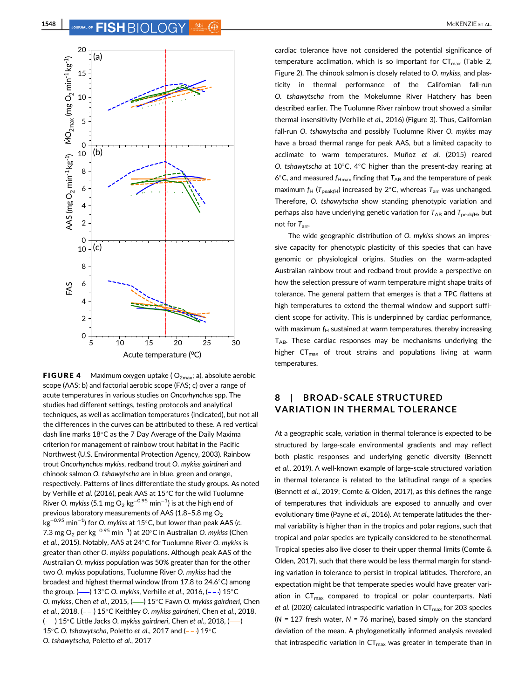

**FIGURE 4** Maximum oxygen uptake ( $O_{2\text{max}}$ ; a), absolute aerobic scope (AAS; b) and factorial aerobic scope (FAS; c) over a range of acute temperatures in various studies on Oncorhynchus spp. The studies had different settings, testing protocols and analytical techniques, as well as acclimation temperatures (indicated), but not all the differences in the curves can be attributed to these. A red vertical dash line marks 18°C as the 7 Day Average of the Daily Maxima criterion for management of rainbow trout habitat in the Pacific Northwest (U.S. Environmental Protection Agency, 2003). Rainbow trout Oncorhynchus mykiss, redband trout O. mykiss gairdneri and chinook salmon O. tshawytscha are in blue, green and orange, respectively. Patterns of lines differentiate the study groups. As noted by Verhille et al. (2016), peak AAS at  $15^{\circ}$ C for the wild Tuolumne River O. mykiss (5.1 mg O $_2$  kg $^{-0.95}$  min $^{-1}$ ) is at the high end of previous laboratory measurements of AAS (1.8-5.8 mg  $O<sub>2</sub>$ kg<sup>−0.95</sup> min<sup>−1</sup>) for O. mykiss at 15°C, but lower than peak AAS (c. 7.3 mg O<sub>2</sub> per kg<sup>−0.95</sup> min<sup>−1</sup>) at 20°C in Australian O. *mykiss* (Chen et al., 2015). Notably, AAS at 24°C for Tuolumne River O. mykiss is greater than other O. mykiss populations. Although peak AAS of the Australian O. mykiss population was 50% greater than for the other two O. mykiss populations, Tuolumne River O. mykiss had the broadest and highest thermal window (from 17.8 to 24.6°C) among the group. ( $\longrightarrow$ ) 13°C O. mykiss, Verhille et al., 2016, (--) 15°C O. mykiss, Chen et al., 2015, (-) 15°C Fawn O. mykiss gairdneri, Chen et al., 2018,  $(--)$  15°C Keithley O. mykiss gairdneri, Chen et al., 2018,  $($   $)$  15°C Little Jacks O. mykiss gairdneri, Chen et al., 2018,  $($ ,  $)$ 15°C O. tshawytscha, Poletto et al., 2017 and  $(-)$  19°C O. tshawytscha, Poletto et al., 2017

cardiac tolerance have not considered the potential significance of temperature acclimation, which is so important for  $CT_{max}$  (Table 2, Figure 2). The chinook salmon is closely related to O. mykiss, and plasticity in thermal performance of the Californian fall-run O. tshawytscha from the Mokelumne River Hatchery has been described earlier. The Tuolumne River rainbow trout showed a similar thermal insensitivity (Verhille et al., 2016) (Figure 3). Thus, Californian fall-run O. tshawytscha and possibly Tuolumne River O. mykiss may have a broad thermal range for peak AAS, but a limited capacity to acclimate to warm temperatures. Muñoz et al. (2015) reared O. tshawytscha at  $10^{\circ}$ C, 4 $^{\circ}$ C higher than the present-day rearing at 6°C, and measured  $f_{Hmax}$  finding that  $T_{AB}$  and the temperature of peak maximum  $f_H$  ( $T_{\text{peakft}}$ ) increased by 2°C, whereas  $T_{\text{arr}}$  was unchanged. Therefore, O. tshawytscha show standing phenotypic variation and perhaps also have underlying genetic variation for  $T_{AB}$  and  $T_{peakfH}$ , but not for  $T_{\text{arr}}$ .

The wide geographic distribution of O. mykiss shows an impressive capacity for phenotypic plasticity of this species that can have genomic or physiological origins. Studies on the warm-adapted Australian rainbow trout and redband trout provide a perspective on how the selection pressure of warm temperature might shape traits of tolerance. The general pattern that emerges is that a TPC flattens at high temperatures to extend the thermal window and support sufficient scope for activity. This is underpinned by cardiac performance, with maximum  $f_H$  sustained at warm temperatures, thereby increasing  $T_{AB}$ . These cardiac responses may be mechanisms underlying the higher  $CT_{max}$  of trout strains and populations living at warm temperatures.

# 8 | BROAD-SCALE STRUCTURED VARIATION IN THERMAL TOLERANCE

At a geographic scale, variation in thermal tolerance is expected to be structured by large-scale environmental gradients and may reflect both plastic responses and underlying genetic diversity (Bennett et al., 2019). A well-known example of large-scale structured variation in thermal tolerance is related to the latitudinal range of a species (Bennett et al., 2019; Comte & Olden, 2017), as this defines the range of temperatures that individuals are exposed to annually and over evolutionary time (Payne et al., 2016). At temperate latitudes the thermal variability is higher than in the tropics and polar regions, such that tropical and polar species are typically considered to be stenothermal. Tropical species also live closer to their upper thermal limits (Comte & Olden, 2017), such that there would be less thermal margin for standing variation in tolerance to persist in tropical latitudes. Therefore, an expectation might be that temperate species would have greater variation in  $CT_{max}$  compared to tropical or polar counterparts. Nati et al. (2020) calculated intraspecific variation in  $CT_{max}$  for 203 species ( $N = 127$  fresh water,  $N = 76$  marine), based simply on the standard deviation of the mean. A phylogenetically informed analysis revealed that intraspecific variation in  $CT_{max}$  was greater in temperate than in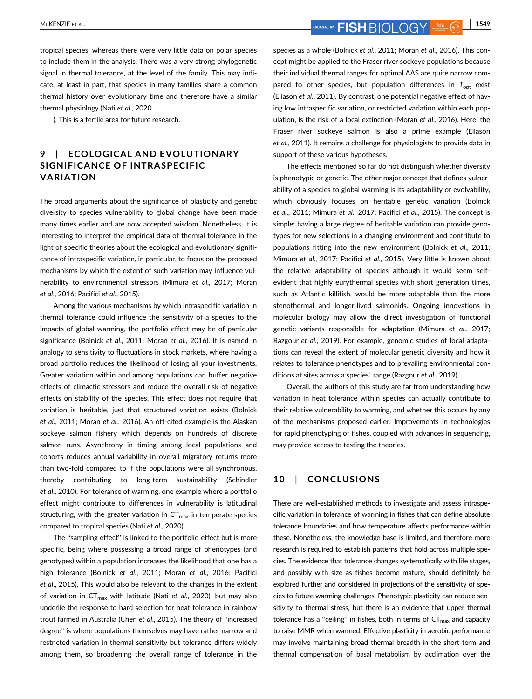MCKENZIE ET AL. **1549 FISH**  $\bigcirc$   $\bigcirc$   $\bigcirc$   $\bigcirc$   $\bigcirc$   $\bigcirc$   $\bigcirc$   $\bigcirc$   $\bigcirc$   $\bigcirc$   $\bigcirc$   $\bigcirc$   $\bigcirc$   $\bigcirc$   $\bigcirc$   $\bigcirc$   $\bigcirc$   $\bigcirc$   $\bigcirc$   $\bigcirc$   $\bigcirc$   $\bigcirc$   $\bigcirc$   $\bigcirc$   $\bigcirc$   $\bigcirc$   $\bigcirc$   $\bigcirc$   $\bigcirc$   $\bigcirc$   $\bigcirc$   $\bigcirc$ 

tropical species, whereas there were very little data on polar species to include them in the analysis. There was a very strong phylogenetic signal in thermal tolerance, at the level of the family. This may indicate, at least in part, that species in many families share a common thermal history over evolutionary time and therefore have a similar thermal physiology (Nati et al., 2020

). This is a fertile area for future research.

# 9 | ECOLOGICAL AND EVOLUTIONARY SIGNIFICANCE OF INTRASPECIFIC VARIATION

The broad arguments about the significance of plasticity and genetic diversity to species vulnerability to global change have been made many times earlier and are now accepted wisdom. Nonetheless, it is interesting to interpret the empirical data of thermal tolerance in the light of specific theories about the ecological and evolutionary significance of intraspecific variation, in particular, to focus on the proposed mechanisms by which the extent of such variation may influence vulnerability to environmental stressors (Mimura et al., 2017; Moran et al., 2016; Pacifici et al., 2015).

Among the various mechanisms by which intraspecific variation in thermal tolerance could influence the sensitivity of a species to the impacts of global warming, the portfolio effect may be of particular significance (Bolnick et al., 2011; Moran et al., 2016). It is named in analogy to sensitivity to fluctuations in stock markets, where having a broad portfolio reduces the likelihood of losing all your investments. Greater variation within and among populations can buffer negative effects of climactic stressors and reduce the overall risk of negative effects on stability of the species. This effect does not require that variation is heritable, just that structured variation exists (Bolnick et al., 2011; Moran et al., 2016). An oft-cited example is the Alaskan sockeye salmon fishery which depends on hundreds of discrete salmon runs. Asynchrony in timing among local populations and cohorts reduces annual variability in overall migratory returns more than two-fold compared to if the populations were all synchronous, thereby contributing to long-term sustainability (Schindler et al., 2010). For tolerance of warming, one example where a portfolio effect might contribute to differences in vulnerability is latitudinal structuring, with the greater variation in  $CT_{\text{max}}$  in temperate species compared to tropical species (Nati et al., 2020).

The "sampling effect" is linked to the portfolio effect but is more specific, being where possessing a broad range of phenotypes (and genotypes) within a population increases the likelihood that one has a high tolerance (Bolnick et al., 2011; Moran et al., 2016; Pacifici et al., 2015). This would also be relevant to the changes in the extent of variation in  $CT_{max}$  with latitude (Nati et al., 2020), but may also underlie the response to hard selection for heat tolerance in rainbow trout farmed in Australia (Chen et al., 2015). The theory of "increased degree" is where populations themselves may have rather narrow and restricted variation in thermal sensitivity but tolerance differs widely among them, so broadening the overall range of tolerance in the species as a whole (Bolnick et al., 2011; Moran et al., 2016). This concept might be applied to the Fraser river sockeye populations because their individual thermal ranges for optimal AAS are quite narrow compared to other species, but population differences in  $T_{\text{opt}}$  exist (Eliason et al., 2011). By contrast, one potential negative effect of having low intraspecific variation, or restricted variation within each population, is the risk of a local extinction (Moran et al., 2016). Here, the Fraser river sockeye salmon is also a prime example (Eliason et al., 2011). It remains a challenge for physiologists to provide data in support of these various hypotheses.

The effects mentioned so far do not distinguish whether diversity is phenotypic or genetic. The other major concept that defines vulnerability of a species to global warming is its adaptability or evolvability, which obviously focuses on heritable genetic variation (Bolnick et al., 2011; Mimura et al., 2017; Pacifici et al., 2015). The concept is simple; having a large degree of heritable variation can provide genotypes for new selections in a changing environment and contribute to populations fitting into the new environment (Bolnick et al., 2011; Mimura et al., 2017; Pacifici et al., 2015). Very little is known about the relative adaptability of species although it would seem selfevident that highly eurythermal species with short generation times, such as Atlantic killifish, would be more adaptable than the more stenothermal and longer-lived salmonids. Ongoing innovations in molecular biology may allow the direct investigation of functional genetic variants responsible for adaptation (Mimura et al., 2017; Razgour et al., 2019). For example, genomic studies of local adaptations can reveal the extent of molecular genetic diversity and how it relates to tolerance phenotypes and to prevailing environmental conditions at sites across a species' range (Razgour et al., 2019).

Overall, the authors of this study are far from understanding how variation in heat tolerance within species can actually contribute to their relative vulnerability to warming, and whether this occurs by any of the mechanisms proposed earlier. Improvements in technologies for rapid phenotyping of fishes, coupled with advances in sequencing, may provide access to testing the theories.

#### 10 | CONCLUSIONS

There are well-established methods to investigate and assess intraspecific variation in tolerance of warming in fishes that can define absolute tolerance boundaries and how temperature affects performance within these. Nonetheless, the knowledge base is limited, and therefore more research is required to establish patterns that hold across multiple species. The evidence that tolerance changes systematically with life stages, and possibly with size as fishes become mature, should definitely be explored further and considered in projections of the sensitivity of species to future warming challenges. Phenotypic plasticity can reduce sensitivity to thermal stress, but there is an evidence that upper thermal tolerance has a "ceiling" in fishes, both in terms of  $CT_{\text{max}}$  and capacity to raise MMR when warmed. Effective plasticity in aerobic performance may involve maintaining broad thermal breadth in the short term and thermal compensation of basal metabolism by acclimation over the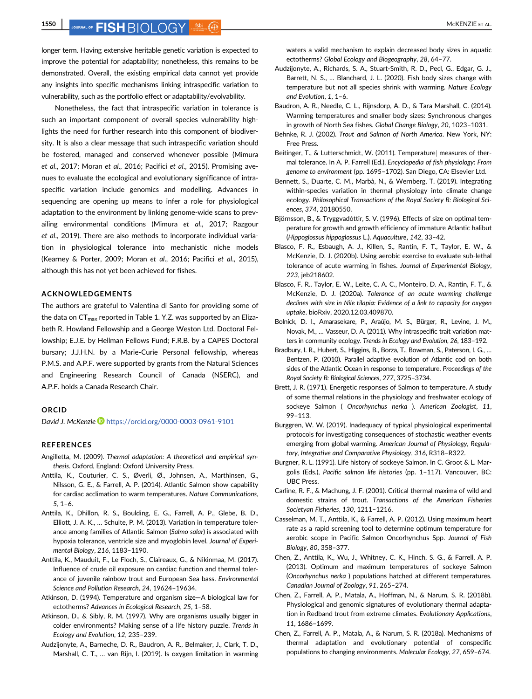# **1550** JOURNAL OF **FISH** RIOL OGY 560 C LEAL.

longer term. Having extensive heritable genetic variation is expected to improve the potential for adaptability; nonetheless, this remains to be demonstrated. Overall, the existing empirical data cannot yet provide any insights into specific mechanisms linking intraspecific variation to vulnerability, such as the portfolio effect or adaptability/evolvability.

Nonetheless, the fact that intraspecific variation in tolerance is such an important component of overall species vulnerability highlights the need for further research into this component of biodiversity. It is also a clear message that such intraspecific variation should be fostered, managed and conserved whenever possible (Mimura et al., 2017; Moran et al., 2016; Pacifici et al., 2015). Promising avenues to evaluate the ecological and evolutionary significance of intraspecific variation include genomics and modelling. Advances in sequencing are opening up means to infer a role for physiological adaptation to the environment by linking genome-wide scans to prevailing environmental conditions (Mimura et al., 2017; Razgour et al., 2019). There are also methods to incorporate individual variation in physiological tolerance into mechanistic niche models (Kearney & Porter, 2009; Moran et al., 2016; Pacifici et al., 2015), although this has not yet been achieved for fishes.

#### ACKNOWLEDGEMENTS

The authors are grateful to Valentina di Santo for providing some of the data on  $CT_{max}$  reported in Table 1. Y.Z. was supported by an Elizabeth R. Howland Fellowship and a George Weston Ltd. Doctoral Fellowship; E.J.E. by Hellman Fellows Fund; F.R.B. by a CAPES Doctoral bursary; J.J.H.N. by a Marie-Curie Personal fellowship, whereas P.M.S. and A.P.F. were supported by grants from the Natural Sciences and Engineering Research Council of Canada (NSERC), and A.P.F. holds a Canada Research Chair.

#### ORCID

David J. McKenzie D <https://orcid.org/0000-0003-0961-9101>

#### REFERENCES

- Angilletta, M. (2009). Thermal adaptation: A theoretical and empirical synthesis. Oxford, England: Oxford University Press.
- Anttila, K., Couturier, C. S., Øverli, Ø., Johnsen, A., Marthinsen, G., Nilsson, G. E., & Farrell, A. P. (2014). Atlantic Salmon show capability for cardiac acclimation to warm temperatures. Nature Communications, 5, 1–6.
- Anttila, K., Dhillon, R. S., Boulding, E. G., Farrell, A. P., Glebe, B. D., Elliott, J. A. K., … Schulte, P. M. (2013). Variation in temperature tolerance among families of Atlantic Salmon (Salmo salar) is associated with hypoxia tolerance, ventricle size and myoglobin level. Journal of Experimental Biology, 216, 1183–1190.
- Anttila, K., Mauduit, F., Le Floch, S., Claireaux, G., & Nikinmaa, M. (2017). Influence of crude oil exposure on cardiac function and thermal tolerance of juvenile rainbow trout and European Sea bass. Environmental Science and Pollution Research, 24, 19624–19634.
- Atkinson, D. (1994). Temperature and organism size—A biological law for ectotherms? Advances in Ecological Research, 25, 1–58.
- Atkinson, D., & Sibly, R. M. (1997). Why are organisms usually bigger in colder environments? Making sense of a life history puzzle. Trends in Ecology and Evolution, 12, 235–239.
- Audzijonyte, A., Barneche, D. R., Baudron, A. R., Belmaker, J., Clark, T. D., Marshall, C. T., … van Rijn, I. (2019). Is oxygen limitation in warming

waters a valid mechanism to explain decreased body sizes in aquatic ectotherms? Global Ecology and Biogeography, 28, 64–77.

- Audzijonyte, A., Richards, S. A., Stuart-Smith, R. D., Pecl, G., Edgar, G. J., Barrett, N. S., … Blanchard, J. L. (2020). Fish body sizes change with temperature but not all species shrink with warming. Nature Ecology and Evolution, 1, 1–6.
- Baudron, A. R., Needle, C. L., Rijnsdorp, A. D., & Tara Marshall, C. (2014). Warming temperatures and smaller body sizes: Synchronous changes in growth of North Sea fishes. Global Change Biology, 20, 1023–1031.
- Behnke, R. J. (2002). Trout and Salmon of North America. New York, NY: Free Press.
- Beitinger, T., & Lutterschmidt, W. (2011). Temperaturej measures of thermal tolerance. In A. P. Farrell (Ed.), Encyclopedia of fish physiology: From genome to environment (pp. 1695–1702). San Diego, CA: Elsevier Ltd.
- Bennett, S., Duarte, C. M., Marbà, N., & Wernberg, T. (2019). Integrating within-species variation in thermal physiology into climate change ecology. Philosophical Transactions of the Royal Society B: Biological Sciences, 374, 20180550.
- Björnsson, B., & Tryggvadóttir, S. V. (1996). Effects of size on optimal temperature for growth and growth efficiency of immature Atlantic halibut (Hippoglossus hippoglossus L.). Aquaculture, 142, 33–42.
- Blasco, F. R., Esbaugh, A. J., Killen, S., Rantin, F. T., Taylor, E. W., & McKenzie, D. J. (2020b). Using aerobic exercise to evaluate sub-lethal tolerance of acute warming in fishes. Journal of Experimental Biology, 223, jeb218602.
- Blasco, F. R., Taylor, E. W., Leite, C. A. C., Monteiro, D. A., Rantin, F. T., & McKenzie, D. J. (2020a). Tolerance of an acute warming challenge declines with size in Nile tilapia: Evidence of a link to capacity for oxygen uptake. bioRxiv, 2020.12.03.409870.
- Bolnick, D. I., Amarasekare, P., Araújo, M. S., Bürger, R., Levine, J. M., Novak, M., … Vasseur, D. A. (2011). Why intraspecific trait variation matters in community ecology. Trends in Ecology and Evolution, 26, 183–192.
- Bradbury, I. R., Hubert, S., Higgins, B., Borza, T., Bowman, S., Paterson, I. G., … Bentzen, P. (2010). Parallel adaptive evolution of Atlantic cod on both sides of the Atlantic Ocean in response to temperature. Proceedings of the Royal Society B: Biological Sciences, 277, 3725–3734.
- Brett, J. R. (1971). Energetic responses of Salmon to temperature. A study of some thermal relations in the physiology and freshwater ecology of sockeye Salmon ( Oncorhynchus nerka ). American Zoologist, 11, 99–113.
- Burggren, W. W. (2019). Inadequacy of typical physiological experimental protocols for investigating consequences of stochastic weather events emerging from global warming. American Journal of Physiology, Regulatory, Integrative and Comparative Physiology, 316, R318–R322.
- Burgner, R. L. (1991). Life history of sockeye Salmon. In C. Groot & L. Margolis (Eds.), Pacific salmon life histories (pp. 1–117). Vancouver, BC: UBC Press.
- Carline, R. F., & Machung, J. F. (2001). Critical thermal maxima of wild and domestic strains of trout. Transactions of the American Fisheries Societyan Fisheries, 130, 1211–1216.
- Casselman, M. T., Anttila, K., & Farrell, A. P. (2012). Using maximum heart rate as a rapid screening tool to determine optimum temperature for aerobic scope in Pacific Salmon Oncorhynchus Spp. Journal of Fish Biology, 80, 358–377.
- Chen, Z., Anttila, K., Wu, J., Whitney, C. K., Hinch, S. G., & Farrell, A. P. (2013). Optimum and maximum temperatures of sockeye Salmon (Oncorhynchus nerka ) populations hatched at different temperatures. Canadian Journal of Zoology, 91, 265–274.
- Chen, Z., Farrell, A. P., Matala, A., Hoffman, N., & Narum, S. R. (2018b). Physiological and genomic signatures of evolutionary thermal adaptation in Redband trout from extreme climates. Evolutionary Applications, 11, 1686–1699.
- Chen, Z., Farrell, A. P., Matala, A., & Narum, S. R. (2018a). Mechanisms of thermal adaptation and evolutionary potential of conspecific populations to changing environments. Molecular Ecology, 27, 659–674.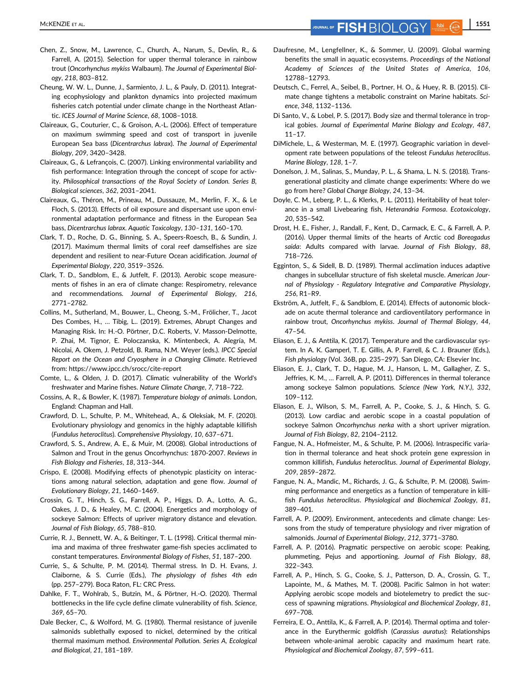MCKENZIE ET AL. **1551** JOURNAL OF **FISH**  $\bigcirc$   $\bigcirc$   $\bigcirc$   $\bigcirc$   $\bigcirc$   $\bigcirc$   $\bigcirc$   $\bigcirc$   $\bigcirc$   $\bigcirc$   $\bigcirc$   $\bigcirc$   $\bigcirc$   $\bigcirc$   $\bigcirc$   $\bigcirc$   $\bigcirc$   $\bigcirc$   $\bigcirc$   $\bigcirc$   $\bigcirc$   $\bigcirc$   $\bigcirc$   $\bigcirc$   $\bigcirc$   $\bigcirc$   $\bigcirc$   $\bigcirc$   $\bigcirc$   $\bigcirc$ 

- Chen, Z., Snow, M., Lawrence, C., Church, A., Narum, S., Devlin, R., & Farrell, A. (2015). Selection for upper thermal tolerance in rainbow trout (Oncorhynchus mykiss Walbaum). The Journal of Experimental Biology, 218, 803–812.
- Cheung, W. W. L., Dunne, J., Sarmiento, J. L., & Pauly, D. (2011). Integrating ecophysiology and plankton dynamics into projected maximum fisheries catch potential under climate change in the Northeast Atlantic. ICES Journal of Marine Science, 68, 1008–1018.
- Claireaux, G., Couturier, C., & Groison, A.-L. (2006). Effect of temperature on maximum swimming speed and cost of transport in juvenile European Sea bass (Dicentrarchus labrax). The Journal of Experimental Biology, 209, 3420–3428.
- Claireaux, G., & Lefrançois, C. (2007). Linking environmental variability and fish performance: Integration through the concept of scope for activity. Philosophical transactions of the Royal Society of London. Series B, Biological sciences, 362, 2031–2041.
- Claireaux, G., Théron, M., Prineau, M., Dussauze, M., Merlin, F. X., & Le Floch, S. (2013). Effects of oil exposure and dispersant use upon environmental adaptation performance and fitness in the European Sea bass, Dicentrarchus labrax. Aquatic Toxicology, 130–131, 160–170.
- Clark, T. D., Roche, D. G., Binning, S. A., Speers-Roesch, B., & Sundin, J. (2017). Maximum thermal limits of coral reef damselfishes are size dependent and resilient to near-Future Ocean acidification. Journal of Experimental Biology, 220, 3519–3526.
- Clark, T. D., Sandblom, E., & Jutfelt, F. (2013). Aerobic scope measurements of fishes in an era of climate change: Respirometry, relevance and recommendations. Journal of Experimental Biology, 216, 2771–2782.
- Collins, M., Sutherland, M., Bouwer, L., Cheong, S.-M., Frölicher, T., Jacot Des Combes, H., … Tibig, L.. (2019). Extremes, Abrupt Changes and Managing Risk. In: H.-O. Pörtner, D.C. Roberts, V. Masson-Delmotte, P. Zhai, M. Tignor, E. Poloczanska, K. Mintenbeck, A. Alegría, M. Nicolai, A. Okem, J. Petzold, B. Rama, N.M. Weyer (eds.). IPCC Special Report on the Ocean and Cryosphere in a Changing Climate. Retrieved from:<https://www.ipcc.ch/srocc/cite-report>
- Comte, L., & Olden, J. D. (2017). Climatic vulnerability of the World's freshwater and Marine fishes. Nature Climate Change, 7, 718–722.
- Cossins, A. R., & Bowler, K. (1987). Temperature biology of animals. London, England: Chapman and Hall.
- Crawford, D. L., Schulte, P. M., Whitehead, A., & Oleksiak, M. F. (2020). Evolutionary physiology and genomics in the highly adaptable killifish (Fundulus heteroclitus). Comprehensive Physiology, 10, 637–671.
- Crawford, S. S., Andrew, A. E., & Muir, M. (2008). Global introductions of Salmon and Trout in the genus Oncorhynchus: 1870-2007. Reviews in Fish Biology and Fisheries, 18, 313–344.
- Crispo, E. (2008). Modifying effects of phenotypic plasticity on interactions among natural selection, adaptation and gene flow. Journal of Evolutionary Biology, 21, 1460–1469.
- Crossin, G. T., Hinch, S. G., Farrell, A. P., Higgs, D. A., Lotto, A. G., Oakes, J. D., & Healey, M. C. (2004). Energetics and morphology of sockeye Salmon: Effects of upriver migratory distance and elevation. Journal of Fish Biology, 65, 788–810.
- Currie, R. J., Bennett, W. A., & Beitinger, T. L. (1998). Critical thermal minima and maxima of three freshwater game-fish species acclimated to constant temperatures. Environmental Biology of Fishes, 51, 187–200.
- Currie, S., & Schulte, P. M. (2014). Thermal stress. In D. H. Evans, J. Claiborne, & S. Currie (Eds.), The physiology of fishes 4th edn (pp. 257–279). Boca Raton, FL: CRC Press.
- Dahlke, F. T., Wohlrab, S., Butzin, M., & Pörtner, H.-O. (2020). Thermal bottlenecks in the life cycle define climate vulnerability of fish. Science, 369, 65–70.
- Dale Becker, C., & Wolford, M. G. (1980). Thermal resistance of juvenile salmonids sublethally exposed to nickel, determined by the critical thermal maximum method. Environmental Pollution. Series A, Ecological and Biological, 21, 181–189.
- Daufresne, M., Lengfellner, K., & Sommer, U. (2009). Global warming benefits the small in aquatic ecosystems. Proceedings of the National Academy of Sciences of the United States of America, 106, 12788–12793.
- Deutsch, C., Ferrel, A., Seibel, B., Portner, H. O., & Huey, R. B. (2015). Climate change tightens a metabolic constraint on Marine habitats. Science, 348, 1132–1136.
- Di Santo, V., & Lobel, P. S. (2017). Body size and thermal tolerance in tropical gobies. Journal of Experimental Marine Biology and Ecology, 487, 11–17.
- DiMichele, L., & Westerman, M. E. (1997). Geographic variation in development rate between populations of the teleost Fundulus heteroclitus. Marine Biology, 128, 1–7.
- Donelson, J. M., Salinas, S., Munday, P. L., & Shama, L. N. S. (2018). Transgenerational plasticity and climate change experiments: Where do we go from here? Global Change Biology, 24, 13–34.
- Doyle, C. M., Leberg, P. L., & Klerks, P. L. (2011). Heritability of heat tolerance in a small Livebearing fish, Heterandria Formosa. Ecotoxicology, 20, 535–542.
- Drost, H. E., Fisher, J., Randall, F., Kent, D., Carmack, E. C., & Farrell, A. P. (2016). Upper thermal limits of the hearts of Arctic cod Boreogadus saida: Adults compared with larvae. Journal of Fish Biology, 88, 718–726.
- Egginton, S., & Sidell, B. D. (1989). Thermal acclimation induces adaptive changes in subcellular structure of fish skeletal muscle. American Journal of Physiology - Regulatory Integrative and Comparative Physiology, 256, R1–R9.
- Ekström, A., Jutfelt, F., & Sandblom, E. (2014). Effects of autonomic blockade on acute thermal tolerance and cardioventilatory performance in rainbow trout, Oncorhynchus mykiss. Journal of Thermal Biology, 44, 47–54.
- Eliason, E. J., & Anttila, K. (2017). Temperature and the cardiovascular system. In A. K. Gamperl, T. E. Gillis, A. P. Farrell, & C. J. Brauner (Eds.), Fish physiology (Vol. 36B, pp. 235–297). San Diego, CA: Elsevier Inc.
- Eliason, E. J., Clark, T. D., Hague, M. J., Hanson, L. M., Gallagher, Z. S., Jeffries, K. M., … Farrell, A. P. (2011). Differences in thermal tolerance among sockeye Salmon populations. Science (New York, N.Y.), 332, 109–112.
- Eliason, E. J., Wilson, S. M., Farrell, A. P., Cooke, S. J., & Hinch, S. G. (2013). Low cardiac and aerobic scope in a coastal population of sockeye Salmon Oncorhynchus nerka with a short upriver migration. Journal of Fish Biology, 82, 2104–2112.
- Fangue, N. A., Hofmeister, M., & Schulte, P. M. (2006). Intraspecific variation in thermal tolerance and heat shock protein gene expression in common killifish, Fundulus heteroclitus. Journal of Experimental Biology, 209, 2859–2872.
- Fangue, N. A., Mandic, M., Richards, J. G., & Schulte, P. M. (2008). Swimming performance and energetics as a function of temperature in killifish Fundulus heteroclitus. Physiological and Biochemical Zoology, 81, 389–401.
- Farrell, A. P. (2009). Environment, antecedents and climate change: Lessons from the study of temperature physiology and river migration of salmonids. Journal of Experimental Biology, 212, 3771–3780.
- Farrell, A. P. (2016). Pragmatic perspective on aerobic scope: Peaking, plummeting, Pejus and apportioning. Journal of Fish Biology, 88, 322–343.
- Farrell, A. P., Hinch, S. G., Cooke, S. J., Patterson, D. A., Crossin, G. T., Lapointe, M., & Mathes, M. T. (2008). Pacific Salmon in hot water: Applying aerobic scope models and biotelemetry to predict the success of spawning migrations. Physiological and Biochemical Zoology, 81, 697–708.
- Ferreira, E. O., Anttila, K., & Farrell, A. P. (2014). Thermal optima and tolerance in the Eurythermic goldfish (Carassius auratus): Relationships between whole-animal aerobic capacity and maximum heart rate. Physiological and Biochemical Zoology, 87, 599–611.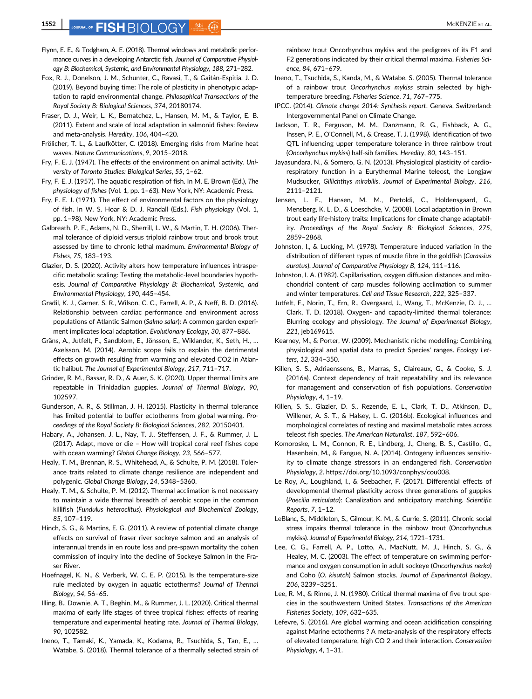# **1552** JOURNAL OF **FISH** RIOL OGY 560 C **C**

- Flynn, E. E., & Todgham, A. E. (2018). Thermal windows and metabolic performance curves in a developing Antarctic fish. Journal of Comparative Physiology B: Biochemical, Systemic, and Environmental Physiology, 188, 271–282.
- Fox, R. J., Donelson, J. M., Schunter, C., Ravasi, T., & Gaitán-Espitia, J. D. (2019). Beyond buying time: The role of plasticity in phenotypic adaptation to rapid environmental change. Philosophical Transactions of the Royal Society B: Biological Sciences, 374, 20180174.
- Fraser, D. J., Weir, L. K., Bernatchez, L., Hansen, M. M., & Taylor, E. B. (2011). Extent and scale of local adaptation in salmonid fishes: Review and meta-analysis. Heredity, 106, 404–420.
- Frölicher, T. L., & Laufkötter, C. (2018). Emerging risks from Marine heat waves. Nature Communications, 9, 2015–2018.
- Fry, F. E. J. (1947). The effects of the environment on animal activity. University of Toronto Studies: Biological Series, 55, 1–62.
- Fry, F. E. J. (1957). The aquatic respiration of fish. In M. E. Brown (Ed.), The physiology of fishes (Vol. 1, pp. 1–63). New York, NY: Academic Press.
- Fry, F. E. J. (1971). The effect of environmental factors on the physiology of fish. In W. S. Hoar & D. J. Randall (Eds.), Fish physiology (Vol. 1, pp. 1–98). New York, NY: Academic Press.
- Galbreath, P. F., Adams, N. D., Sherrill, L. W., & Martin, T. H. (2006). Thermal tolerance of diploid versus triploid rainbow trout and brook trout assessed by time to chronic lethal maximum. Environmental Biology of Fishes, 75, 183–193.
- Glazier, D. S. (2020). Activity alters how temperature influences intraspecific metabolic scaling: Testing the metabolic-level boundaries hypothesis. Journal of Comparative Physiology B: Biochemical, Systemic, and Environmental Physiology, 190, 445–454.
- Gradil, K. J., Garner, S. R., Wilson, C. C., Farrell, A. P., & Neff, B. D. (2016). Relationship between cardiac performance and environment across populations of Atlantic Salmon (Salmo salar): A common garden experiment implicates local adaptation. Evolutionary Ecology, 30, 877–886.
- Gräns, A., Jutfelt, F., Sandblom, E., Jönsson, E., Wiklander, K., Seth, H., … Axelsson, M. (2014). Aerobic scope fails to explain the detrimental effects on growth resulting from warming and elevated CO2 in Atlantic halibut. The Journal of Experimental Biology, 217, 711–717.
- Grinder, R. M., Bassar, R. D., & Auer, S. K. (2020). Upper thermal limits are repeatable in Trinidadian guppies. Journal of Thermal Biology, 90, 102597.
- Gunderson, A. R., & Stillman, J. H. (2015). Plasticity in thermal tolerance has limited potential to buffer ectotherms from global warming. Proceedings of the Royal Society B: Biological Sciences, 282, 20150401.
- Habary, A., Johansen, J. L., Nay, T. J., Steffensen, J. F., & Rummer, J. L. (2017). Adapt, move or die – How will tropical coral reef fishes cope with ocean warming? Global Change Biology, 23, 566–577.
- Healy, T. M., Brennan, R. S., Whitehead, A., & Schulte, P. M. (2018). Tolerance traits related to climate change resilience are independent and polygenic. Global Change Biology, 24, 5348–5360.
- Healy, T. M., & Schulte, P. M. (2012). Thermal acclimation is not necessary to maintain a wide thermal breadth of aerobic scope in the common killifish (Fundulus heteroclitus). Physiological and Biochemical Zoology, 85, 107–119.
- Hinch, S. G., & Martins, E. G. (2011). A review of potential climate change effects on survival of fraser river sockeye salmon and an analysis of interannual trends in en route loss and pre-spawn mortality the cohen commission of inquiry into the decline of Sockeye Salmon in the Fraser River.
- Hoefnagel, K. N., & Verberk, W. C. E. P. (2015). Is the temperature-size rule mediated by oxygen in aquatic ectotherms? Journal of Thermal Biology, 54, 56–65.
- Illing, B., Downie, A. T., Beghin, M., & Rummer, J. L. (2020). Critical thermal maxima of early life stages of three tropical fishes: effects of rearing temperature and experimental heating rate. Journal of Thermal Biology, 90, 102582.
- Ineno, T., Tamaki, K., Yamada, K., Kodama, R., Tsuchida, S., Tan, E., … Watabe, S. (2018). Thermal tolerance of a thermally selected strain of

rainbow trout Oncorhynchus mykiss and the pedigrees of its F1 and F2 generations indicated by their critical thermal maxima. Fisheries Science, 84, 671–679.

- Ineno, T., Tsuchida, S., Kanda, M., & Watabe, S. (2005). Thermal tolerance of a rainbow trout Oncorhynchus mykiss strain selected by hightemperature breeding. Fisheries Science, 71, 767–775.
- IPCC. (2014). Climate change 2014: Synthesis report. Geneva, Switzerland: Intergovernmental Panel on Climate Change.
- Jackson, T. R., Ferguson, M. M., Danzmann, R. G., Fishback, A. G., Ihssen, P. E., O'Connell, M., & Crease, T. J. (1998). Identification of two QTL influencing upper temperature tolerance in three rainbow trout (Oncorhynchus mykiss) half-sib families. Heredity, 80, 143–151.
- Jayasundara, N., & Somero, G. N. (2013). Physiological plasticity of cardiorespiratory function in a Eurythermal Marine teleost, the Longjaw Mudsucker, Gillichthys mirabilis. Journal of Experimental Biology, 216, 2111–2121.
- Jensen, L. F., Hansen, M. M., Pertoldi, C., Holdensgaard, G., Mensberg, K. L. D., & Loeschcke, V. (2008). Local adaptation in Brown trout early life-history traits: Implications for climate change adaptability. Proceedings of the Royal Society B: Biological Sciences, 275, 2859–2868.
- Johnston, I., & Lucking, M. (1978). Temperature induced variation in the distribution of different types of muscle fibre in the goldfish (Carassius auratus). Journal of Comparative Physiology B, 124, 111–116.
- Johnston, I. A. (1982). Capillarisation, oxygen diffusion distances and mitochondrial content of carp muscles following acclimation to summer and winter temperatures. Cell and Tissue Research, 222, 325–337.
- Jutfelt, F., Norin, T., Ern, R., Overgaard, J., Wang, T., McKenzie, D. J., … Clark, T. D. (2018). Oxygen- and capacity-limited thermal tolerance: Blurring ecology and physiology. The Journal of Experimental Biology, 221, jeb169615.
- Kearney, M., & Porter, W. (2009). Mechanistic niche modelling: Combining physiological and spatial data to predict Species' ranges. Ecology Letters, 12, 334–350.
- Killen, S. S., Adriaenssens, B., Marras, S., Claireaux, G., & Cooke, S. J. (2016a). Context dependency of trait repeatability and its relevance for management and conservation of fish populations. Conservation Physiology, 4, 1–19.
- Killen, S. S., Glazier, D. S., Rezende, E. L., Clark, T. D., Atkinson, D., Willener, A. S. T., & Halsey, L. G. (2016b). Ecological influences and morphological correlates of resting and maximal metabolic rates across teleost fish species. The American Naturalist, 187, 592–606.
- Komoroske, L. M., Connon, R. E., Lindberg, J., Cheng, B. S., Castillo, G., Hasenbein, M., & Fangue, N. A. (2014). Ontogeny influences sensitivity to climate change stressors in an endangered fish. Conservation Physiology, 2. [https://doi.org/10.1093/conphys/cou008.](https://doi.org/10.1093/conphys/cou008)
- Le Roy, A., Loughland, I., & Seebacher, F. (2017). Differential effects of developmental thermal plasticity across three generations of guppies (Poecilia reticulata): Canalization and anticipatory matching. Scientific Reports, 7, 1–12.
- LeBlanc, S., Middleton, S., Gilmour, K. M., & Currie, S. (2011). Chronic social stress impairs thermal tolerance in the rainbow trout (Oncorhynchus mykiss). Journal of Experimental Biology, 214, 1721–1731.
- Lee, C. G., Farrell, A. P., Lotto, A., MacNutt, M. J., Hinch, S. G., & Healey, M. C. (2003). The effect of temperature on swimming performance and oxygen consumption in adult sockeye (Oncorhynchus nerka) and Coho (O. kisutch) Salmon stocks. Journal of Experimental Biology, 206, 3239–3251.
- Lee, R. M., & Rinne, J. N. (1980). Critical thermal maxima of five trout species in the southwestern United States. Transactions of the American Fisheries Society, 109, 632–635.
- Lefevre, S. (2016). Are global warming and ocean acidification conspiring against Marine ectotherms ? A meta-analysis of the respiratory effects of elevated temperature, high CO 2 and their interaction. Conservation Physiology, 4, 1-31.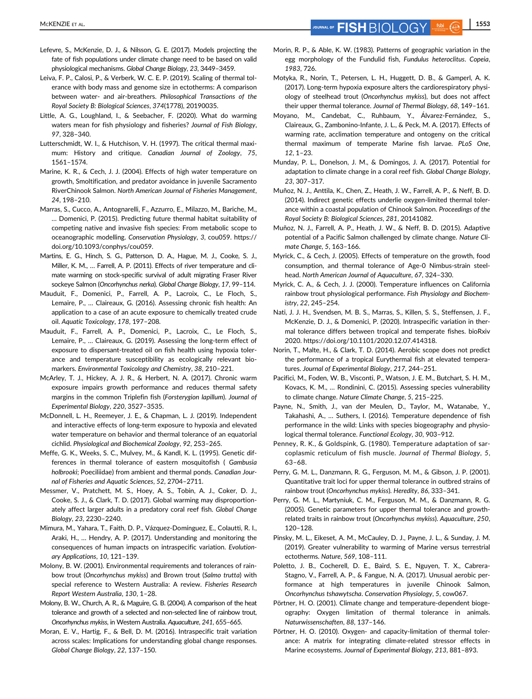MCKENZIE ET AL. **1553 FISH**  $\overline{B}$   $\overline{C}$   $\overline{C}$   $\overline{C}$   $\overline{D}$   $\overline{D}$   $\overline{D}$   $\overline{D}$   $\overline{D}$   $\overline{D}$   $\overline{D}$   $\overline{D}$   $\overline{D}$   $\overline{D}$   $\overline{D}$   $\overline{D}$   $\overline{D}$   $\overline{D}$   $\overline{D}$   $\overline{D}$   $\overline{D}$   $\over$ 

- Lefevre, S., McKenzie, D. J., & Nilsson, G. E. (2017). Models projecting the fate of fish populations under climate change need to be based on valid physiological mechanisms. Global Change Biology, 23, 3449–3459.
- Leiva, F. P., Calosi, P., & Verberk, W. C. E. P. (2019). Scaling of thermal tolerance with body mass and genome size in ectotherms: A comparison between water- and air-breathers. Philosophical Transactions of the Royal Society B: Biological Sciences, 374(1778), 20190035.
- Little, A. G., Loughland, I., & Seebacher, F. (2020). What do warming waters mean for fish physiology and fisheries? Journal of Fish Biology, 97, 328–340.
- Lutterschmidt, W. I., & Hutchison, V. H. (1997). The critical thermal maximum: History and critique. Canadian Journal of Zoology, 75, 1561–1574.
- Marine, K. R., & Cech, J. J. (2004). Effects of high water temperature on growth, Smoltification, and predator avoidance in juvenile Sacramento RiverChinook Salmon. North American Journal of Fisheries Management, 24, 198–210.
- Marras, S., Cucco, A., Antognarelli, F., Azzurro, E., Milazzo, M., Bariche, M., … Domenici, P. (2015). Predicting future thermal habitat suitability of competing native and invasive fish species: From metabolic scope to oceanographic modelling. Conservation Physiology, 3, cou059. [https://](https://doi.org/10.1093/conphys/cou059) [doi.org/10.1093/conphys/cou059.](https://doi.org/10.1093/conphys/cou059)
- Martins, E. G., Hinch, S. G., Patterson, D. A., Hague, M. J., Cooke, S. J., Miller, K. M., … Farrell, A. P. (2011). Effects of river temperature and climate warming on stock-specific survival of adult migrating Fraser River sockeye Salmon (Oncorhynchus nerka). Global Change Biology, 17, 99–114.
- Mauduit, F., Domenici, P., Farrell, A. P., Lacroix, C., Le Floch, S., Lemaire, P., … Claireaux, G. (2016). Assessing chronic fish health: An application to a case of an acute exposure to chemically treated crude oil. Aquatic Toxicology, 178, 197–208.
- Mauduit, F., Farrell, A. P., Domenici, P., Lacroix, C., Le Floch, S., Lemaire, P., … Claireaux, G. (2019). Assessing the long-term effect of exposure to dispersant-treated oil on fish health using hypoxia tolerance and temperature susceptibility as ecologically relevant biomarkers. Environmental Toxicology and Chemistry, 38, 210–221.
- McArley, T. J., Hickey, A. J. R., & Herbert, N. A. (2017). Chronic warm exposure impairs growth performance and reduces thermal safety margins in the common Triplefin fish (Forsterygion lapillum). Journal of Experimental Biology, 220, 3527–3535.
- McDonnell, L. H., Reemeyer, J. E., & Chapman, L. J. (2019). Independent and interactive effects of long-term exposure to hypoxia and elevated water temperature on behavior and thermal tolerance of an equatorial cichlid. Physiological and Biochemical Zoology, 92, 253–265.
- Meffe, G. K., Weeks, S. C., Mulvey, M., & Kandl, K. L. (1995). Genetic differences in thermal tolerance of eastern mosquitofish ( Gambusia holbrooki; Poeciliidae) from ambient and thermal ponds. Canadian Journal of Fisheries and Aquatic Sciences, 52, 2704–2711.
- Messmer, V., Pratchett, M. S., Hoey, A. S., Tobin, A. J., Coker, D. J., Cooke, S. J., & Clark, T. D. (2017). Global warming may disproportionately affect larger adults in a predatory coral reef fish. Global Change Biology, 23, 2230–2240.
- Mimura, M., Yahara, T., Faith, D. P., Vázquez-Domínguez, E., Colautti, R. I., Araki, H., … Hendry, A. P. (2017). Understanding and monitoring the consequences of human impacts on intraspecific variation. Evolutionary Applications, 10, 121–139.
- Molony, B. W. (2001). Environmental requirements and tolerances of rainbow trout (Oncorhynchus mykiss) and Brown trout (Salmo trutta) with special reference to Western Australia: A review. Fisheries Research Report Western Australia, 130, 1–28.
- Molony, B. W., Church, A. R., & Maguire, G. B. (2004). A comparison of the heat tolerance and growth of a selected and non-selected line of rainbow trout, Oncorhynchus mykiss, in Western Australia. Aquaculture, 241, 655–665.
- Moran, E. V., Hartig, F., & Bell, D. M. (2016). Intraspecific trait variation across scales: Implications for understanding global change responses. Global Change Biology, 22, 137–150.
- Morin, R. P., & Able, K. W. (1983). Patterns of geographic variation in the egg morphology of the Fundulid fish, Fundulus heteroclitus. Copeia, 1983, 726.
- Motyka, R., Norin, T., Petersen, L. H., Huggett, D. B., & Gamperl, A. K. (2017). Long-term hypoxia exposure alters the cardiorespiratory physiology of steelhead trout (Oncorhynchus mykiss), but does not affect their upper thermal tolerance. Journal of Thermal Biology, 68, 149–161.
- Moyano, M., Candebat, C., Ruhbaum, Y., Álvarez-Fernández, S., Claireaux, G., Zambonino-Infante, J. L., & Peck, M. A. (2017). Effects of warming rate, acclimation temperature and ontogeny on the critical thermal maximum of temperate Marine fish larvae. PLoS One, 12, 1–23.
- Munday, P. L., Donelson, J. M., & Domingos, J. A. (2017). Potential for adaptation to climate change in a coral reef fish. Global Change Biology, 23, 307–317.
- Muñoz, N. J., Anttila, K., Chen, Z., Heath, J. W., Farrell, A. P., & Neff, B. D. (2014). Indirect genetic effects underlie oxygen-limited thermal tolerance within a coastal population of Chinook Salmon. Proceedings of the Royal Society B: Biological Sciences, 281, 20141082.
- Muñoz, N. J., Farrell, A. P., Heath, J. W., & Neff, B. D. (2015). Adaptive potential of a Pacific Salmon challenged by climate change. Nature Climate Change, 5, 163–166.
- Myrick, C., & Cech, J. (2005). Effects of temperature on the growth, food consumption, and thermal tolerance of Age-0 Nimbus-strain steelhead. North American Journal of Aquaculture, 67, 324–330.
- Myrick, C. A., & Cech, J. J. (2000). Temperature influences on California rainbow trout physiological performance. Fish Physiology and Biochemistry, 22, 245–254.
- Nati, J. J. H., Svendsen, M. B. S., Marras, S., Killen, S. S., Steffensen, J. F., McKenzie, D. J., & Domenici, P. (2020). Intraspecific variation in thermal tolerance differs between tropical and temperate fishes. bioRxiv 2020. [https://doi.org/10.1101/2020.12.07.414318.](https://doi.org/10.1101/2020.12.07.414318)
- Norin, T., Malte, H., & Clark, T. D. (2014). Aerobic scope does not predict the performance of a tropical Eurythermal fish at elevated temperatures. Journal of Experimental Biology, 217, 244–251.
- Pacifici, M., Foden, W. B., Visconti, P., Watson, J. E. M., Butchart, S. H. M., Kovacs, K. M., … Rondinini, C. (2015). Assessing species vulnerability to climate change. Nature Climate Change, 5, 215–225.
- Payne, N., Smith, J., van der Meulen, D., Taylor, M., Watanabe, Y., Takahashi, A., … Suthers, I. (2016). Temperature dependence of fish performance in the wild: Links with species biogeography and physiological thermal tolerance. Functional Ecology, 30, 903–912.
- Penney, R. K., & Goldspink, G. (1980). Temperature adaptation of sarcoplasmic reticulum of fish muscle. Journal of Thermal Biology, 5, 63–68.
- Perry, G. M. L., Danzmann, R. G., Ferguson, M. M., & Gibson, J. P. (2001). Quantitative trait loci for upper thermal tolerance in outbred strains of rainbow trout (Oncorhynchus mykiss). Heredity, 86, 333–341.
- Perry, G. M. L., Martyniuk, C. M., Ferguson, M. M., & Danzmann, R. G. (2005). Genetic parameters for upper thermal tolerance and growthrelated traits in rainbow trout (Oncorhynchus mykiss). Aquaculture, 250, 120–128.
- Pinsky, M. L., Eikeset, A. M., McCauley, D. J., Payne, J. L., & Sunday, J. M. (2019). Greater vulnerability to warming of Marine versus terrestrial ectotherms. Nature, 569, 108–111.
- Poletto, J. B., Cocherell, D. E., Baird, S. E., Nguyen, T. X., Cabrera-Stagno, V., Farrell, A. P., & Fangue, N. A. (2017). Unusual aerobic performance at high temperatures in juvenile Chinook Salmon, Oncorhynchus tshawytscha. Conservation Physiology, 5, cow067.
- Pörtner, H. O. (2001). Climate change and temperature-dependent biogeography: Oxygen limitation of thermal tolerance in animals. Naturwissenschaften, 88, 137–146.
- Pörtner, H. O. (2010). Oxygen- and capacity-limitation of thermal tolerance: A matrix for integrating climate-related stressor effects in Marine ecosystems. Journal of Experimental Biology, 213, 881–893.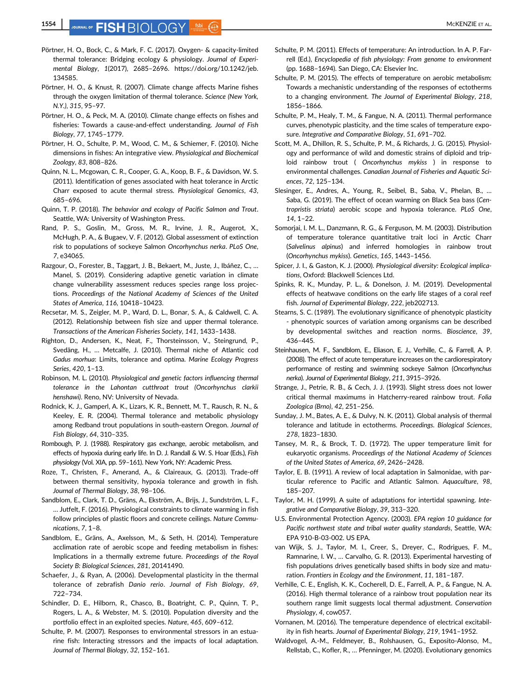- Pörtner, H. O., Bock, C., & Mark, F. C. (2017). Oxygen- & capacity-limited thermal tolerance: Bridging ecology & physiology. Journal of Experimental Biology, 1(2017), 2685–2696. [https://doi.org/10.1242/jeb.](https://doi.org/10.1242/jeb.134585) [134585](https://doi.org/10.1242/jeb.134585).
- Pörtner, H. O., & Knust, R. (2007). Climate change affects Marine fishes through the oxygen limitation of thermal tolerance. Science (New York, N.Y.), 315, 95–97.
- Pörtner, H. O., & Peck, M. A. (2010). Climate change effects on fishes and fisheries: Towards a cause-and-effect understanding. Journal of Fish Biology, 77, 1745–1779.
- Pörtner, H. O., Schulte, P. M., Wood, C. M., & Schiemer, F. (2010). Niche dimensions in fishes: An integrative view. Physiological and Biochemical Zoology, 83, 808–826.
- Quinn, N. L., Mcgowan, C. R., Cooper, G. A., Koop, B. F., & Davidson, W. S. (2011). Identification of genes associated with heat tolerance in Arctic Charr exposed to acute thermal stress. Physiological Genomics, 43, 685–696.
- Quinn, T. P. (2018). The behavior and ecology of Pacific Salmon and Trout. Seattle, WA: University of Washington Press.
- Rand, P. S., Goslin, M., Gross, M. R., Irvine, J. R., Augerot, X., McHugh, P. A., & Bugaev, V. F. (2012). Global assessment of extinction risk to populations of sockeye Salmon Oncorhynchus nerka. PLoS One, 7, e34065.
- Razgour, O., Forester, B., Taggart, J. B., Bekaert, M., Juste, J., Ibáñez, C., … Manel, S. (2019). Considering adaptive genetic variation in climate change vulnerability assessment reduces species range loss projections. Proceedings of the National Academy of Sciences of the United States of America, 116, 10418–10423.
- Recsetar, M. S., Zeigler, M. P., Ward, D. L., Bonar, S. A., & Caldwell, C. A. (2012). Relationship between fish size and upper thermal tolerance. Transactions of the American Fisheries Society, 141, 1433–1438.
- Righton, D., Andersen, K., Neat, F., Thorsteinsson, V., Steingrund, P., Svedäng, H., … Metcalfe, J. (2010). Thermal niche of Atlantic cod Gadus morhua: Limits, tolerance and optima. Marine Ecology Progress Series, 420, 1–13.
- Robinson, M. L. (2010). Physiological and genetic factors influencing thermal tolerance in the Lahontan cutthroat trout (Oncorhynchus clarkii henshawi). Reno, NV: University of Nevada.
- Rodnick, K. J., Gamperl, A. K., Lizars, K. R., Bennett, M. T., Rausch, R. N., & Keeley, E. R. (2004). Thermal tolerance and metabolic physiology among Redband trout populations in south-eastern Oregon. Journal of Fish Biology, 64, 310–335.
- Rombough, P. J. (1988). Respiratory gas exchange, aerobic metabolism, and effects of hypoxia during early life. In D. J. Randall & W. S. Hoar (Eds.), Fish physiology (Vol. XIA, pp. 59–161). New York, NY: Academic Press.
- Roze, T., Christen, F., Amerand, A., & Claireaux, G. (2013). Trade-off between thermal sensitivity, hypoxia tolerance and growth in fish. Journal of Thermal Biology, 38, 98–106.
- Sandblom, E., Clark, T. D., Gräns, A., Ekström, A., Brijs, J., Sundström, L. F., … Jutfelt, F. (2016). Physiological constraints to climate warming in fish follow principles of plastic floors and concrete ceilings. Nature Communications, 7, 1–8.
- Sandblom, E., Gräns, A., Axelsson, M., & Seth, H. (2014). Temperature acclimation rate of aerobic scope and feeding metabolism in fishes: Implications in a thermally extreme future. Proceedings of the Royal Society B: Biological Sciences, 281, 20141490.
- Schaefer, J., & Ryan, A. (2006). Developmental plasticity in the thermal tolerance of zebrafish Danio rerio. Journal of Fish Biology, 69, 722–734.
- Schindler, D. E., Hilborn, R., Chasco, B., Boatright, C. P., Quinn, T. P., Rogers, L. A., & Webster, M. S. (2010). Population diversity and the portfolio effect in an exploited species. Nature, 465, 609–612.
- Schulte, P. M. (2007). Responses to environmental stressors in an estuarine fish: Interacting stressors and the impacts of local adaptation. Journal of Thermal Biology, 32, 152–161.
- Schulte, P. M. (2011). Effects of temperature: An introduction. In A. P. Farrell (Ed.), Encyclopedia of fish physiology: From genome to environment (pp. 1688–1694). San Diego, CA: Elsevier Inc.
- Schulte, P. M. (2015). The effects of temperature on aerobic metabolism: Towards a mechanistic understanding of the responses of ectotherms to a changing environment. The Journal of Experimental Biology, 218, 1856–1866.
- Schulte, P. M., Healy, T. M., & Fangue, N. A. (2011). Thermal performance curves, phenotypic plasticity, and the time scales of temperature exposure. Integrative and Comparative Biology, 51, 691–702.
- Scott, M. A., Dhillon, R. S., Schulte, P. M., & Richards, J. G. (2015). Physiology and performance of wild and domestic strains of diploid and triploid rainbow trout ( Oncorhynchus mykiss ) in response to environmental challenges. Canadian Journal of Fisheries and Aquatic Sciences, 72, 125–134.
- Slesinger, E., Andres, A., Young, R., Seibel, B., Saba, V., Phelan, B., … Saba, G. (2019). The effect of ocean warming on Black Sea bass (Centropristis striata) aerobic scope and hypoxia tolerance. PLoS One, 14, 1–22.
- Somorjai, I. M. L., Danzmann, R. G., & Ferguson, M. M. (2003). Distribution of temperature tolerance quantitative trait loci in Arctic Charr (Salvelinus alpinus) and inferred homologies in rainbow trout (Oncorhynchus mykiss). Genetics, 165, 1443–1456.
- Spicer, J. I., & Gaston, K. J. (2000). Physiological diversity: Ecological implications, Oxford: Blackwell Sciences Ltd.
- Spinks, R. K., Munday, P. L., & Donelson, J. M. (2019). Developmental effects of heatwave conditions on the early life stages of a coral reef fish. Journal of Experimental Biology, 222, jeb202713.
- Stearns, S. C. (1989). The evolutionary significance of phenotypic plasticity - phenotypic sources of variation among organisms can be described by developmental switches and reaction norms. Bioscience, 39, 436–445.
- Steinhausen, M. F., Sandblom, E., Eliason, E. J., Verhille, C., & Farrell, A. P. (2008). The effect of acute temperature increases on the cardiorespiratory performance of resting and swimming sockeye Salmon (Oncorhynchus nerka). Journal of Experimental Biology, 211, 3915–3926.
- Strange, J., Petrie, R. B., & Cech, J. J. (1993). Slight stress does not lower critical thermal maximums in Hatcherry-reared rainbow trout. Folia Zoologica (Brno), 42, 251–256.
- Sunday, J. M., Bates, A. E., & Dulvy, N. K. (2011). Global analysis of thermal tolerance and latitude in ectotherms. Proceedings. Biological Sciences, 278, 1823–1830.
- Tansey, M. R., & Brock, T. D. (1972). The upper temperature limit for eukaryotic organisms. Proceedings of the National Academy of Sciences of the United States of America, 69, 2426–2428.
- Taylor, E. B. (1991). A review of local adaptation in Salmonidae, with particular reference to Pacific and Atlantic Salmon. Aquaculture, 98, 185–207.
- Taylor, M. H. (1999). A suite of adaptations for intertidal spawning. Integrative and Comparative Biology, 39, 313–320.
- U.S. Environmental Protection Agency. (2003). EPA region 10 guidance for Pacific northwest state and tribal water quality standards, Seattle, WA: EPA 910-B-03-002. US EPA.
- van Wijk, S. J., Taylor, M. I., Creer, S., Dreyer, C., Rodrigues, F. M., Ramnarine, I. W., … Carvalho, G. R. (2013). Experimental harvesting of fish populations drives genetically based shifts in body size and maturation. Frontiers in Ecology and the Environment, 11, 181–187.
- Verhille, C. E., English, K. K., Cocherell, D. E., Farrell, A. P., & Fangue, N. A. (2016). High thermal tolerance of a rainbow trout population near its southern range limit suggests local thermal adjustment. Conservation Physiology, 4, cow057.
- Vornanen, M. (2016). The temperature dependence of electrical excitability in fish hearts. Journal of Experimental Biology, 219, 1941–1952.
- Waldvogel, A.-M., Feldmeyer, B., Rolshausen, G., Exposito-Alonso, M., Rellstab, C., Kofler, R., … Pfenninger, M. (2020). Evolutionary genomics